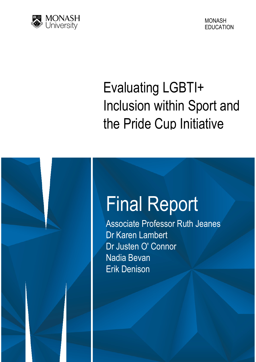

MONASH EDUCATION

# Evaluating LGBTI+ Inclusion within Sport and the Pride Cup Initiative



Associate Professor Ruth Jeanes Dr Karen Lambert Dr Justen O' Connor Nadia Bevan Erik Denison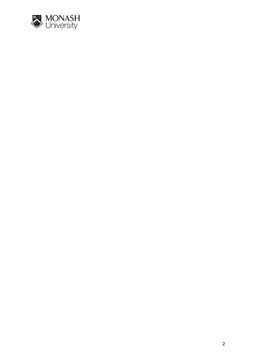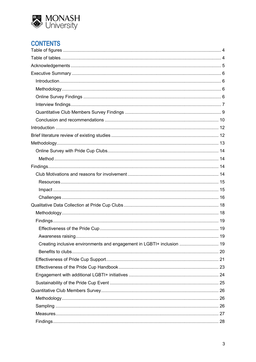

# **CONTENTS**

| Creating inclusive environments and engagement in LGBTI+ inclusion  19 |  |
|------------------------------------------------------------------------|--|
|                                                                        |  |
|                                                                        |  |
|                                                                        |  |
|                                                                        |  |
|                                                                        |  |
|                                                                        |  |
|                                                                        |  |
|                                                                        |  |
|                                                                        |  |
|                                                                        |  |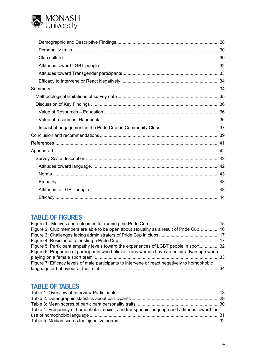

# <span id="page-3-0"></span>**TABLE OF FIGURES**

| Figure 2: Club members are able to be open about sexuality as a result of Pride Cup 16        |  |
|-----------------------------------------------------------------------------------------------|--|
|                                                                                               |  |
|                                                                                               |  |
| Figure 5: Participant empathy levels toward the experiences of LGBT people in sport 32        |  |
| Figure 6: Proportion of participants who believe Trans women have an unfair advantage when    |  |
|                                                                                               |  |
| Figure 7: Efficacy levels of male participants to intervene or react negatively to homophobic |  |
|                                                                                               |  |

# <span id="page-3-1"></span>**TABLE OF TABLES**

| Table 4: Frequency of homophobic, sexist, and transphobic language and attitudes toward the |  |
|---------------------------------------------------------------------------------------------|--|
|                                                                                             |  |
|                                                                                             |  |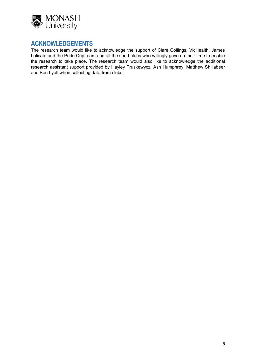

## <span id="page-4-0"></span>**ACKNOWLEDGEMENTS**

The research team would like to acknowledge the support of Clare Collings, VicHealth, James Lolicato and the Pride Cup team and all the sport clubs who willingly gave up their time to enable the research to take place. The research team would also like to acknowledge the additional research assistant support provided by Hayley Truskewycz, Ash Humphrey, Matthew Shillabeer and Ben Lyall when collecting data from clubs.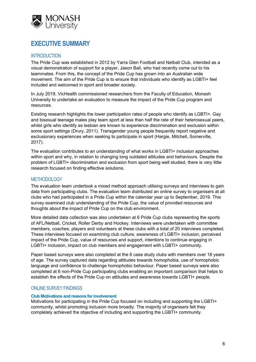

# <span id="page-5-0"></span>**EXECUTIVE SUMMARY**

#### <span id="page-5-1"></span>INTRODUCTION

The Pride Cup was established in 2012 by Yarra Glen Football and Netball Club, intended as a visual demonstration of support for a player, Jason Ball, who had recently come out to his teammates. From this, the concept of the Pride Cup has grown into an Australian wide movement. The aim of the Pride Cup is to ensure that individuals who identify as LGBTI+ feel included and welcomed in sport and broader society.

In July 2019, VicHealth commissioned researchers from the Faculty of Education, Monash University to undertake an evaluation to measure the impact of the Pride Cup program and resources.

Existing research highlights the lower participation rates of people who identify as LGBTI+. Gay and bisexual teenage males play team sport at less than half the rate of their heterosexual peers, whilst girls who identify as lesbian are known to experience discrimination and exclusion within some sport settings (Drury, 2011). Transgender young people frequently report negative and exclusionary experiences when seeking to participate in sport (Hargie, Mitchell, Somerville, 2017).

The evaluation contributes to an understanding of what works in LGBTI+ inclusion approaches within sport and why, in relation to changing long outdated attitudes and behaviours. Despite the problem of LGBTI+ discrimination and exclusion from sport being well studied, there is very little research focused on finding effective solutions.

#### <span id="page-5-2"></span>**METHODOLOGY**

The evaluation team undertook a mixed method approach utilising surveys and interviews to gain data from participating clubs. The evaluation team distributed an online survey to organisers at all clubs who had participated in a Pride Cup within the calendar year up to September, 2019. This survey examined club understanding of the Pride Cup, the value of provided resources and thoughts about the impact of Pride Cup on the club environment.

More detailed data collection was also undertaken at 6 Pride Cup clubs representing the sports of AFL/Netball, Cricket, Roller Derby and Hockey. Interviews were undertaken with committee members, coaches, players and volunteers at these clubs with a total of 20 interviews completed. These interviews focused on examining club culture, awareness of LGBTI+ inclusion, perceived impact of the Pride Cup, value of resources and support, intentions to continue engaging in LGBTI+ inclusion, impact on club members and engagement with LGBTI+ community.

Paper based surveys were also completed at the 6 case study clubs with members over 18 years of age. The survey captured data regarding attitudes towards homophobia, use of homophobic language and confidence to challenge homophobic behaviour. Paper based surveys were also completed at 6 non-Pride Cup participating clubs enabling an important comparison that helps to establish the effects of the Pride Cup on attitudes and awareness towards LGBTI+ people.

#### <span id="page-5-3"></span>ONLINE SURVEY FINDINGS

#### **Club Motivations and reasons for involvement**

Motivations for participating in the Pride Cup focused on including and supporting the LGBTI+ community, whilst promoting inclusion more broadly. The majority of organisers felt they completely achieved the objective of including and supporting the LGBTI+ community.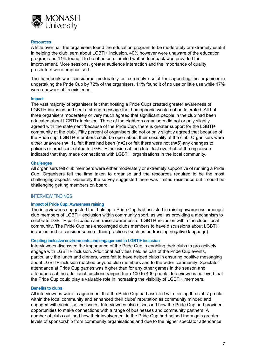

#### **Resources**

A little over half the organisers found the education program to be moderately or extremely useful in helping the club learn about LGBTI+ inclusion. 40% however were unaware of the education program and 11% found it to be of no use. Limited written feedback was provided for improvement. More sessions, greater audience interaction and the importance of quality presenters were emphasised.

The handbook was considered moderately or extremely useful for supporting the organiser in undertaking the Pride Cup by 72% of the organisers. 11% found it of no use or little use while 17% were unaware of its existence.

#### **Impact**

The vast majority of organisers felt that hosting a Pride Cups created greater awareness of LGBTI+ inclusion and sent a strong message that homophobia would not be tolerated. All but three organisers moderately or very much agreed that significant people in the club had been educated about LGBTI+ inclusion. Three of the eighteen organisers did not or only slightly agreed with the statement 'because of the Pride Cup, there is greater support for the LGBTI+ community at the club'. Fifty percent of organisers did not or only slightly agreed that because of the Pride cup, LGBTI+ members could be open about their sexuality at the club. Organisers were either unaware (n=11), felt there had been (n=2) or felt there were not (n=5) any changes to policies or practices related to LGBTI+ inclusion at the club. Just over half of the organisers indicated that they made connections with LGBTI+ organisations in the local community.

#### **Challenges**

All organisers felt club members were either moderately or extremely supportive of running a Pride Cup. Organisers felt the time taken to organise and the resources required to be the most challenging aspects. Generally the survey suggested there was limited resistance but it could be challenging getting members on board.

#### <span id="page-6-0"></span>INTERVIEW FINDINGS

#### **Impact of Pride Cup: Awareness raising**

The interviewees suggested that holding a Pride Cup had assisted in raising awareness amongst club members of LGBTI+ exclusion within community sport, as well as providing a mechanism to celebrate LGBTI+ participation and raise awareness of LGBTI+ inclusion within the clubs' local community. The Pride Cup has encouraged clubs members to have discussions about LGBTI+ inclusion and to consider some of their practices (such as addressing negative language).

#### **Creating inclusive environments and engagement in LGBTI+ inclusion**

Interviewees discussed the importance of the Pride Cup in enabling their clubs to pro-actively engage with LGBTI+ inclusion. Additional activities held as part of the Pride Cup events, particularly the lunch and dinners, were felt to have helped clubs in ensuring positive messaging about LGBTI+ inclusion reached beyond club members and to the wider community. Spectator attendance at Pride Cup games was higher than for any other games in the season and attendance at the additional functions ranged from 100 to 400 people. Interviewees believed that the Pride Cup could play a valuable role in increasing the visibility of LGBTI+ members.

#### **Benefits to clubs**

All interviewees were in agreement that the Pride Cup had assisted with raising the clubs' profile within the local community and enhanced their clubs' reputation as community minded and engaged with social justice issues. Interviewees also discussed how the Pride Cup had provided opportunities to make connections with a range of businesses and community partners. A number of clubs outlined how their involvement in the Pride Cup had helped them gain greater levels of sponsorship from community organisations and due to the higher spectator attendance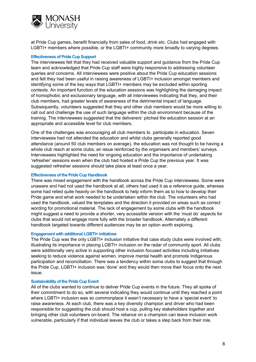

at Pride Cup games, benefit financially from sales of food, drink etc. Clubs had engaged with LGBTI+ members where possible, or the LGBTI+ community more broadly to varying degrees.

#### **Effectiveness of Pride Cup Support**

The interviewees felt that they had received valuable support and guidance from the Pride Cup team and acknowledged that Pride Cup staff were highly responsive to addressing volunteer queries and concerns. All interviewees were positive about the Pride Cup education sessions and felt they had been useful in raising awareness of LGBTI+ inclusion amongst members and identifying some of the key ways that LGBTI+ members may be excluded within sporting contexts. An important function of the education sessions was highlighting the damaging impact of homophobic and exclusionary language, with all interviewees indicating that they, and their club members, had greater levels of awareness of the detrimental impact of language. Subsequently, volunteers suggested that they and other club members would be more willing to call out and challenge the use of such language within the club environment because of the training. The interviewees suggested that the deliverers' pitched the education session at an appropriate and accessible level for club members.

One of the challenges was encouraging all club members to participate in education. Seven interviewees had not attended the education and whilst clubs generally reported good attendance (around 50 club members on average), the education was not thought to be having a whole club reach at some clubs, an issue reinforced by the organisers and members' surveys. Interviewees highlighted the need for ongoing education and the importance of undertaking 'refresher' sessions even when the club had hosted a Pride Cup the previous year. It was suggested refresher sessions should take place at least once a year.

#### **Effectiveness of the Pride Cup Handbook**

There was mixed engagement with the handbook across the Pride Cup interviewees. Some were unaware and had not used the handbook at all, others had used it as a reference guide, whereas some had relied quite heavily on the handbook to help inform them as to how to develop their Pride game and what work needed to be undertaken within the club. The volunteers who had used the handbook, valued the templates and the direction it provided on areas such as correct wording for promotional material. The lack of engagement by some clubs with the handbook might suggest a need to provide a shorter, very accessible version with the 'must do' aspects for clubs that would not engage more fully with the broader handbook. Alternately a different handbook targeted towards different audiences may be an option worth exploring.

#### **Engagement with additional LGBTI+ initiatives**

The Pride Cup was the only LGBTI+ inclusion initiative that case study clubs were involved with, illustrating its importance in placing LGBTI+ inclusion on the radar of community sport. All clubs were additionally very active in supporting other inclusion focused activities including initiatives seeking to reduce violence against women, improve mental health and promote Indigenous participation and reconciliation. There was a tendency within some clubs to suggest that through the Pride Cup, LGBTI+ inclusion was 'done' and they would then move their focus onto the next issue.

#### **Sustainability of the Pride Cup Event**

All of the clubs wanted to continue to deliver Pride Cup events in the future. They all spoke of their commitment to do so, with several indicating they would continue until they reached a point where LGBTI+ inclusion was so commonplace it wasn't necessary to have a 'special event' to raise awareness. At each club, there was a key diversity champion and driver who had been responsible for suggesting the club should host a cup, pulling key stakeholders together and bringing other club volunteers on-board. The reliance on a champion can leave inclusion work vulnerable, particularly if that individual leaves the club or takes a step back from their role.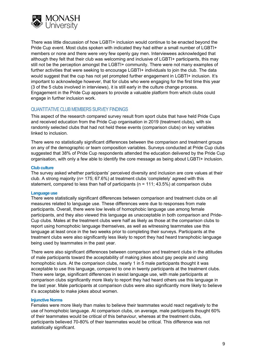

There was little discussion of how LGBTI+ inclusion would continue to be enacted beyond the Pride Cup event. Most clubs spoken with indicated they had either a small number of LGBTI+ members or none and there were very few openly gay men. Interviewees acknowledged that although they felt that their club was welcoming and inclusive of LGBTI+ participants, this may still not be the perception amongst the LGBTI+ community. There were not many examples of further activities that were seeking to encourage LGBTI+ individuals to join the club. The data would suggest that the cup has not vet prompted further engagement in LGBTI+ inclusion. It's important to acknowledge however, that for clubs who were engaging for the first time this year (3 of the 5 clubs involved in interviews), it is still early in the culture change process. Engagement in the Pride Cup appears to provide a valuable platform from which clubs could engage in further inclusion work.

#### <span id="page-8-0"></span>QUANTITATIVE CLUB MEMBERS SURVEY FINDINGS

This aspect of the research compared survey result from sport clubs that have held Pride Cups and received education from the Pride Cup organisation in 2019 (treatment clubs), with six randomly selected clubs that had not held these events (comparison clubs) on key variables linked to inclusion.

There were no statistically significant differences between the comparison and treatment groups on any of the demographic or team composition variables. Surveys conducted at Pride Cup clubs suggested that 38% of Pride Cup respondents attended the education delivered by the Pride Cup organisation, with only a few able to identify the core message as being about LGBTI+ inclusion.

#### **Club culture**

The survey asked whether participants' perceived diversity and inclusion are core values at their club. A strong majority (n= 175; 67.6%) at treatment clubs 'completely' agreed with this statement, compared to less than half of participants (n = 111; 43.5%) at comparison clubs

#### **Language use**

There were statistically significant differences between comparison and treatment clubs on all measures related to language use. These differences were due to responses from male participants. Overall, there were low levels of homophobic language use among female participants, and they also viewed this language as unacceptable in both comparison and Pride-Cup clubs. Males at the treatment clubs were half as likely as those at the comparison clubs to report using homophobic language themselves, as well as witnessing teammates use this language at least once in the two weeks prior to completing their surveys. Participants at the treatment clubs were also significantly less likely to report they had heard transphobic language being used by teammates in the past year.

There were also significant differences between comparison and treatment clubs in the attitudes of male participants toward the acceptability of making jokes about gay people and using homophobic slurs. At the comparison clubs, nearly 1 in 5 male participants thought it was acceptable to use this language, compared to one in twenty participants at the treatment clubs. There were large, significant differences in sexist language use, with male participants at comparison clubs significantly more likely to report they had heard others use this language in the last year. Male participants at comparison clubs were also significantly more likely to believe it's acceptable to make jokes about women.

#### **Injunctive Norms**

Females were more likely than males to believe their teammates would react negatively to the use of homophobic language. At comparison clubs, on average, male participants thought 60% of their teammates would be critical of this behaviour, whereas at the treatment clubs, participants believed 70-80% of their teammates would be critical. This difference was not statistically significant.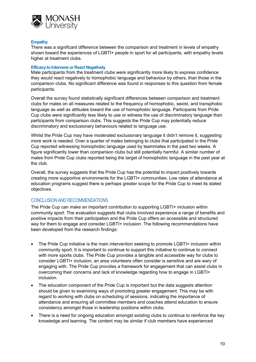

#### **Empathy**

There was a significant difference between the comparison and treatment in levels of empathy shown toward the experiences of LGBTI+ people in sport for all participants, with empathy levels higher at treatment clubs.

#### **Efficacy to Intervene or React Negatively**

Male participants from the treatment clubs were significantly more likely to express confidence they would react negatively to homophobic language and behaviour by others, than those in the comparison clubs. No significant difference was found in responses to this question from female participants.

Overall the survey found statistically significant differences between comparison and treatment clubs for males on all measures related to the frequency of homophobic, sexist, and transphobic language as well as attitudes toward the use of homophobic language. Participants from Pride Cup clubs were significantly less likely to use or witness the use of discriminatory language than participants from comparison clubs. This suggests the Pride Cup may potentially reduce discriminatory and exclusionary behaviours related to language use.

Whilst the Pride Cup may have moderated exclusionary language it didn't remove it, suggesting more work is needed. Over a quarter of males belonging to clubs that participated in the Pride Cup reported witnessing homophobic language used by teammates in the past two weeks. A figure significantly lower than comparison clubs but still potentially harmful. A similar number of males from Pride Cup clubs reported being the target of homophobic language in the past year at the club.

Overall, the survey suggests that the Pride Cup has the potential to impact positively towards creating more supportive environments for the LGBTI+ communities. Low rates of attendance at education programs suggest there is perhaps greater scope for the Pride Cup to meet its stated objectives.

#### <span id="page-9-0"></span>CONCLUSION AND RECOMMENDATIONS

The Pride Cup can make an important contribution to supporting LGBTI+ inclusion within community sport. The evaluation suggests that clubs involved experience a range of benefits and positive impacts from their participation and the Pride Cup offers an accessible and structured way for them to engage and consider LGBTI+ inclusion. The following recommendations have been developed from the research findings:

- The Pride Cup initiative is the main intervention seeking to promote LGBTI+ inclusion within community sport. It is important to continue to support this initiative to continue to connect with more sports clubs. The Pride Cup provides a tangible and accessible way for clubs to consider LGBTI+ inclusion, an area volunteers often consider is sensitive and are wary of engaging with. The Pride Cup provides a framework for engagement that can assist clubs in overcoming their concerns and lack of knowledge regarding how to engage in LGBTI+ inclusion.
- The education component of the Pride Cup is important but the data suggests attention should be given to examining ways of promoting greater engagement. This may be with regard to working with clubs on scheduling of sessions, indicating the importance of attendance and ensuring all committee members and coaches attend education to ensure consistency amongst those in leadership positions within clubs.
- There is a need for ongoing education amongst existing clubs to continue to reinforce the key knowledge and learning. The content may be similar if club members have experienced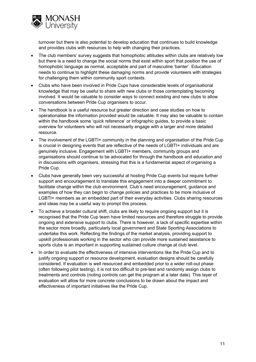

turnover but there is also potential to develop education that continues to build knowledge and provides clubs with resources to help with changing their practices.

- The club members' survey suggests that homophobic attitudes within clubs are relatively low but there is a need to change the social norms that exist within sport that position the use of homophobic language as normal, acceptable and part of masculine 'banter'. Education needs to continue to highlight these damaging norms and provide volunteers with strategies for challenging them within community sport contexts.
- Clubs who have been involved in Pride Cups have considerable levels of organisational knowledge that may be useful to share with new clubs or those contemplating becoming involved. It would be valuable to consider ways to connect existing and new clubs to allow conversations between Pride Cup organisers to occur.
- The handbook is a useful resource but greater direction and case studies on how to operationalise the information provided would be valuable. It may also be valuable to contain within the handbook some 'quick reference' or infographic guides, to provide a basic overview for volunteers who will not necessarily engage with a larger and more detailed resource.
- The involvement of the LGBTI+ community in the planning and organisation of the Pride Cup is crucial in designing events that are reflective of the needs of LGBTI+ individuals and are genuinely inclusive. Engagement with LGBTI+ members, community groups and organisations should continue to be advocated for through the handbook and education and in discussions with organisers, stressing that this is a fundamental aspect of organising a Pride Cup.
- Clubs have generally been very successful at hosting Pride Cup events but require further support and encouragement to translate this engagement into a deeper commitment to facilitate change within the club environment. Club's need encouragement, guidance and examples of how they can begin to change policies and practices to be more inclusive of LGBTI+ members as an embedded part of their everyday activities. Clubs sharing resources and ideas may be a useful way to prompt this process.
- To achieve a broader cultural shift, clubs are likely to require ongoing support but it is recognised that the Pride Cup team have limited resources and therefore struggle to provide ongoing and extensive support to clubs. There is however, a lack of specific expertise within the sector more broadly, particularly local government and State Sporting Associations to undertake this work. Reflecting the findings of the market analysis, providing support to upskill professionals working in the sector who can provide more sustained assistance to sports clubs is an important in supporting sustained culture change at club level.
- In order to evaluate the effectiveness of intensive interventions like the Pride Cup and to justify ongoing support or resource development, evaluation designs should be carefully considered. If evaluation is well resourced and embedded prior to a wider roll-out phase (often following pilot testing), it is not too difficult to pre-test and randomly assign clubs to treatments and controls (noting controls can get the program at a later date). This layer of evaluation will allow for more concrete conclusions to be drawn about the impact and effectiveness of important initiatives like the Pride Cup.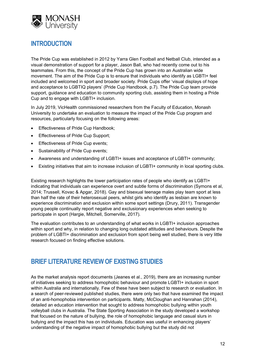

# <span id="page-11-0"></span>**INTRODUCTION**

The Pride Cup was established in 2012 by Yarra Glen Football and Netball Club, intended as a visual demonstration of support for a player, Jason Ball, who had recently come out to his teammates. From this, the concept of the Pride Cup has grown into an Australian wide movement. The aim of the Pride Cup is to ensure that individuals who identify as LGBTI+ feel included and welcomed in sport and broader society. Pride Cups offer 'visual displays of hope and acceptance to LGBTIQ players' (Pride Cup Handbook, p.7). The Pride Cup team provide support, guidance and education to community sporting club, assisting them in hosting a Pride Cup and to engage with LGBTI+ inclusion.

In July 2019, VicHealth commissioned researchers from the Faculty of Education, Monash University to undertake an evaluation to measure the impact of the Pride Cup program and resources, particularly focusing on the following areas:

- Effectiveness of Pride Cup Handbook;
- Effectiveness of Pride Cup Support;
- Effectiveness of Pride Cup events;
- Sustainability of Pride Cup events;
- Awareness and understanding of LGBTI+ issues and acceptance of LGBTI+ community;
- Existing initiatives that aim to increase inclusion of LGBTI+ community in local sporting clubs.

Existing research highlights the lower participation rates of people who identify as LGBTI+ indicating that individuals can experience overt and subtle forms of discrimination (Symons et al, 2014; Trussell, Kovac & Apgar, 2018). Gay and bisexual teenage males play team sport at less than half the rate of their heterosexual peers, whilst girls who identify as lesbian are known to experience discrimination and exclusion within some sport settings (Drury, 2011). Transgender young people continually report negative and exclusionary experiences when seeking to participate in sport (Hargie, Mitchell, Somerville, 2017).

The evaluation contributes to an understanding of what works in LGBTI+ inclusion approaches within sport and why, in relation to changing long outdated attitudes and behaviours. Despite the problem of LGBTI+ discrimination and exclusion from sport being well studied, there is very little research focused on finding effective solutions.

## <span id="page-11-1"></span>**BRIEF LITERATURE REVIEW OF EXISTING STUDIES**

As the market analysis report documents (Jeanes et al., 2019), there are an increasing number of initiatives seeking to address homophobic behaviour and promote LGBTI+ inclusion in sport within Australia and internationally. Few of these have been subject to research or evaluation. In a search of peer-reviewed published studies, there were only two that have examined the impact of an anti-homophobia intervention on participants. Matty, McCloughan and Hanrahan (2014), detailed an education intervention that sought to address homophobic bullying within youth volleyball clubs in Australia. The State Sporting Association in the study developed a workshop that focused on the nature of bullying, the role of homophobic language and casual slurs in bullying and the impact this has on individuals. Education was useful in enhancing players' understanding of the negative impact of homophobic bullying but the study did not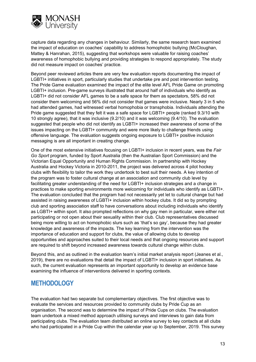

capture data regarding any changes in behaviour. Similarly, the same research team examined the impact of education on coaches' capability to address homophobic bullying (McCloughan, Mattey & Hanrahan, 2015), suggesting that workshops were valuable for raising coaches' awareness of homophobic bullying and providing strategies to respond appropriately. The study did not measure impact on coaches' practice.

Beyond peer reviewed articles there are very few evaluation reports documenting the impact of LGBTI+ initiatives in sport, particularly studies that undertake pre and post intervention testing. The Pride Game evaluation examined the impact of the elite level AFL Pride Game on promoting LGBTI+ inclusion. Pre-game surveys illustrated that around half of individuals who identify as LGBTI+ did not consider AFL games to be a safe space for them as spectators, 58% did not consider them welcoming and 56% did not consider that games were inclusive. Nearly 3 in 5 who had attended games, had witnessed verbal homophobia or transphobia. Individuals attending the Pride game suggested that they felt it was a safe space for LGBTI+ people (ranked 9.3/10 with 10 strongly agree), that it was inclusive (9.2/10) and it was welcoming (9.4/10). The evaluation suggested that people who did not identify as LGBTI+ increased their awareness of some of the issues impacting on the LGBTI+ community and were more likely to challenge friends using offensive language. The evaluation suggests ongoing exposure to LGBTI+ positive inclusion messaging is are all important in creating change.

One of the most extensive initiatives focusing on LGBTI+ inclusion in recent years, was the *Fair Go Sport* program, funded by Sport Australia (then the Australian Sport Commission) and the Victorian Equal Opportunity and Human Rights Commission. In partnership with Hockey Australia and Hockey Victoria in 2010-2011, the project was delivered across 4 pilot hockey clubs with flexibility to tailor the work they undertook to best suit their needs. A key intention of the program was to foster cultural change at an association and community club level by facilitating greater understanding of the need for LGBTI+ inclusion strategies and a change in practices to make sporting environments more welcoming for individuals who identify as LGBTI+. The evaluation concluded that the program had not necessarily yet let to cultural change but had assisted in raising awareness of LGBTI+ inclusion within hockey clubs. It did so by prompting club and sporting association staff to have conversations about including individuals who identify as LGBTI+ within sport. It also prompted reflections on why gay men in particular, were either not participating or not open about their sexuality within their club. Club representatives discussed being more willing to act on homophobic slurs such as 'that's so gay', because they had greater knowledge and awareness of the impacts. The key learning from the intervention was the importance of education and support for clubs, the value of allowing clubs to develop opportunities and approaches suited to their local needs and that ongoing resources and support are required to shift beyond increased awareness towards cultural change within clubs.

Beyond this, and as outlined in the evaluation team's initial market analysis report (Jeanes et al., 2019), there are no evaluations that detail the impact of LGBTI+ inclusion in sport initiatives. As such, the current evaluation represents an important opportunity to develop an evidence base examining the influence of interventions delivered in sporting contexts.

## <span id="page-12-0"></span>**METHODOLOGY**

The evaluation had two separate but complementary objectives. The first objective was to evaluate the services and resources provided to community clubs by Pride Cup as an organisation. The second was to determine the impact of Pride Cups on clubs. The evaluation team undertook a mixed method approach utilising surveys and interviews to gain data from participating clubs. The evaluation team distributed an online survey to key contacts at all clubs who had participated in a Pride Cup within the calendar year up to September, 2019. This survey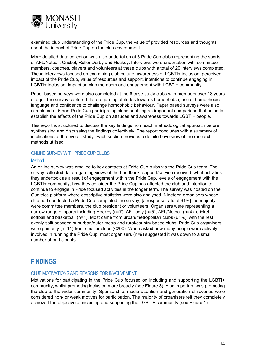

examined club understanding of the Pride Cup, the value of provided resources and thoughts about the impact of Pride Cup on the club environment.

More detailed data collection was also undertaken at 6 Pride Cup clubs representing the sports of AFL/Netball, Cricket, Roller Derby and Hockey. Interviews were undertaken with committee members, coaches, players and volunteers at these clubs with a total of 20 interviews completed. These interviews focused on examining club culture, awareness of LGBTI+ inclusion, perceived impact of the Pride Cup, value of resources and support, intentions to continue engaging in LGBTI+ inclusion, impact on club members and engagement with LGBTI+ community.

Paper based surveys were also completed at the 6 case study clubs with members over 18 years of age. The survey captured data regarding attitudes towards homophobia, use of homophobic language and confidence to challenge homophobic behaviour. Paper based surveys were also completed at 6 non-Pride Cup participating clubs enabling an important comparison that helps to establish the effects of the Pride Cup on attitudes and awareness towards LGBTI+ people.

This report is structured to discuss the key findings from each methodological approach before synthesising and discussing the findings collectively. The report concludes with a summary of implications of the overall study. Each section provides a detailed overview of the research methods utilised.

#### <span id="page-13-0"></span>ONLINE SURVEY WITH PRIDE CUP CLUBS

#### <span id="page-13-1"></span>**Method**

An online survey was emailed to key contacts at Pride Cup clubs via the Pride Cup team. The survey collected data regarding views of the handbook, support/service received, what activities they undertook as a result of engagement within the Pride Cup, levels of engagement with the LGBTI+ community, how they consider the Pride Cup has affected the club and intention to continue to engage in Pride focused activities in the longer term. The survey was hosted on the Qualtrics platform where descriptive statistics were also analysed. Nineteen organisers whose club had conducted a Pride Cup completed the survey, [a response rate of 61%] the majority were committee members, the club president or volunteers. Organisers were representing a narrow range of sports including Hockey (n=7), AFL only (n=5), AFL/Netball (n=4), cricket, softball and basketball (n=1). Most came from urban/metropolitan clubs (61%), with the rest evenly split between suburban/outer metro and rural/country based clubs. Pride Cup organisers were primarily (n=14) from smaller clubs (<200). When asked how many people were actively involved in running the Pride Cup, most organisers (n=9) suggested it was down to a small number of participants.

### <span id="page-13-2"></span>**FINDINGS**

#### <span id="page-13-3"></span>CLUB MOTIVATIONS ANDREASONS FOR INVOLVEMENT

Motivations for participating in the Pride Cup focused on including and supporting the LGBTI+ community, whilst promoting inclusion more broadly (see Figure 3). Also important was promoting the club to the wider community. Sponsorship, media attention and generation of revenue were considered non- or weak motives for participation. The majority of organisers felt they completely achieved the objective of including and supporting the LGBTI+ community (see Figure 1).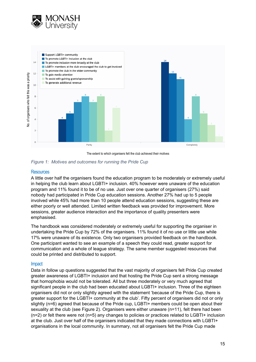



The extent to which organisers felt the club achieved their motives

<span id="page-14-2"></span>*Figure 1: Motives and outcomes for running the Pride Cup*

#### <span id="page-14-0"></span>**Resources**

A little over half the organisers found the education program to be moderately or extremely useful in helping the club learn about LGBTI+ inclusion. 40% however were unaware of the education program and 11% found it to be of no use. Just over one quarter of organisers (27%) said nobody had participated in Pride Cup education sessions. Another 27% had up to 5 people involved while 45% had more than 10 people attend education sessions, suggesting these are either poorly or well attended. Limited written feedback was provided for improvement. More sessions, greater audience interaction and the importance of quality presenters were emphasised.

The handbook was considered moderately or extremely useful for supporting the organiser in undertaking the Pride Cup by 72% of the organisers. 11% found it of no use or little use while 17% were unaware of its existence. Only two organisers provided feedback on the handbook. One participant wanted to see an example of a speech they could read, greater support for communication and a whole of league strategy. The same member suggested resources that could be printed and distributed to support.

#### <span id="page-14-1"></span>Impact

Data in follow up questions suggested that the vast majority of organisers felt Pride Cup created greater awareness of LGBTI+ inclusion and that hosting the Pride Cup sent a strong message that homophobia would not be tolerated. All but three moderately or very much agreed that significant people in the club had been educated about LGBTI+ inclusion. Three of the eighteen organisers did not or only slightly agreed with the statement 'because of the Pride Cup, there is greater support for the LGBTI+ community at the club'. Fifty percent of organisers did not or only slightly (n=6) agreed that because of the Pride cup, LGBTI+ members could be open about their sexuality at the club (see Figure 2). Organisers were either unaware (n=11), felt there had been (n=2) or felt there were not (n=5) any changes to policies or practices related to LGBTI+ inclusion at the club. Just over half of the organisers indicated that they made connections with LGBTI+ organisations in the local community. In summary, not all organisers felt the Pride Cup made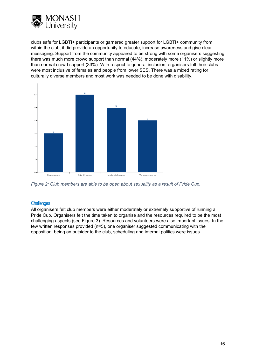

clubs safe for LGBTI+ participants or garnered greater support for LGBTI+ community from within the club, it did provide an opportunity to educate, increase awareness and give clear messaging. Support from the community appeared to be strong with some organisers suggesting there was much more crowd support than normal (44%), moderately more (11%) or slightly more than normal crowd support (33%). With respect to general inclusion, organisers felt their clubs were most inclusive of females and people from lower SES. There was a mixed rating for culturally diverse members and most work was needed to be done with disability.



<span id="page-15-1"></span>*Figure 2: Club members are able to be open about sexuality as a result of Pride Cup.*

#### <span id="page-15-0"></span>**Challenges**

All organisers felt club members were either moderately or extremely supportive of running a Pride Cup. Organisers felt the time taken to organise and the resources required to be the most challenging aspects (see Figure 3). Resources and volunteers were also important issues. In the few written responses provided (n=5), one organiser suggested communicating with the opposition, being an outsider to the club, scheduling and internal politics were issues.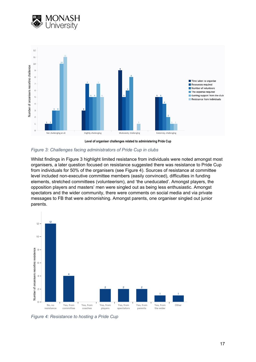



#### <span id="page-16-0"></span>*Figure 3: Challenges facing administrators of Pride Cup in clubs*

Whilst findings in Figure 3 highlight limited resistance from individuals were noted amongst most organisers, a later question focused on resistance suggested there was resistance to Pride Cup from individuals for 50% of the organisers (see Figure 4). Sources of resistance at committee level included non-executive committee members (easily convinced), difficulties in funding elements, stretched committees (volunteerism), and 'the uneducated'. Amongst players, the opposition players and masters' men were singled out as being less enthusiastic. Amongst spectators and the wider community, there were comments on social media and via private messages to FB that were admonishing. Amongst parents, one organiser singled out junior parents.



<span id="page-16-1"></span>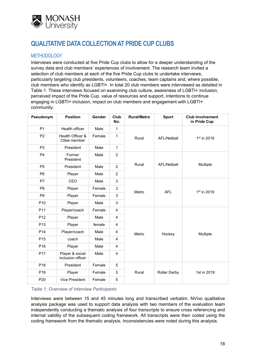

# <span id="page-17-0"></span>**QUALITATIVE DATA COLLECTION AT PRIDE CUP CLUBS**

#### <span id="page-17-1"></span>METHODOLOGY

Interviews were conducted at five Pride Cup clubs to allow for a deeper understanding of the survey data and club members' experiences of involvement. The research team invited a selection of club members at each of the five Pride Cup clubs to undertake interviews, particularly targeting club presidents, volunteers, coaches, team captains and, where possible, club members who identify as LGBTI+. In total 20 club members were interviewed as detailed in Table 1. These interviews focused on examining club culture, awareness of LGBTI+ inclusion, perceived impact of the Pride Cup, value of resources and support, intentions to continue engaging in LGBTI+ inclusion, impact on club members and engagement with LGBTI+ community.

| Pseudonym       | <b>Position</b>                      | Gender | Club<br>No.    | <b>Rural/Metro</b> | <b>Sport</b>        | <b>Club Involvement</b><br>in Pride Cup |             |
|-----------------|--------------------------------------|--------|----------------|--------------------|---------------------|-----------------------------------------|-------------|
| P <sub>1</sub>  | Health officer                       | Male   | 1              | Rural              |                     |                                         |             |
| P <sub>2</sub>  | Health Officer &<br>Cttee member     | Female | $\mathbf{1}$   |                    | <b>AFL/Netball</b>  | 1st in 2019                             |             |
| P <sub>3</sub>  | President                            | Male   | $\mathbf{1}$   |                    |                     |                                         |             |
| P <sub>4</sub>  | Former<br>President                  | Male   | $\overline{2}$ |                    |                     |                                         |             |
| P <sub>5</sub>  | President                            | Male   | $\overline{2}$ | Rural              | <b>AFL/Netball</b>  | Multiple                                |             |
| P <sub>6</sub>  | Player                               | Male   | $\overline{c}$ |                    |                     |                                         |             |
| P7              | CEO                                  | Male   | 3              | Metro              |                     |                                         |             |
| P <sub>8</sub>  | Player                               | Female | 3              |                    | <b>AFL</b>          |                                         | 1st in 2019 |
| P <sub>9</sub>  | Player                               | Female | 3              |                    |                     |                                         |             |
| P <sub>10</sub> | Player                               | Male   | 3              |                    |                     |                                         |             |
| P11             | Player/coach                         | Female | 4              |                    |                     |                                         |             |
| P <sub>12</sub> | Player                               | Male   | 4              |                    |                     |                                         |             |
| P <sub>13</sub> | Player                               | female | 4              |                    |                     |                                         |             |
| P14             | Player/coach                         | Male   | $\overline{4}$ | Metro              | Hockey              | Multiple                                |             |
| P <sub>15</sub> | coach                                | Male   | $\overline{4}$ |                    |                     |                                         |             |
| P <sub>16</sub> | Player                               | Male   | 4              |                    |                     |                                         |             |
| P <sub>17</sub> | Player & social<br>inclusion officer | Male   | $\overline{4}$ |                    |                     |                                         |             |
| P <sub>18</sub> | President                            | Female | 5              |                    |                     |                                         |             |
| P <sub>19</sub> | Player                               | Female | 5              | Rural              | <b>Roller Derby</b> | 1st in 2019                             |             |
| P <sub>20</sub> | Vice President                       | Female | 5              |                    |                     |                                         |             |

<span id="page-17-2"></span>*Table 1: Overview of Interview Participants*

Interviews were between 15 and 45 minutes long and transcribed verbatim. NVivo qualitative analysis package was used to support data analysis with two members of the evaluation team independently conducting a thematic analysis of four transcripts to ensure cross referencing and internal validity of the subsequent coding framework. All transcripts were then coded using the coding framework from the thematic analysis. Inconsistencies were noted during this analysis.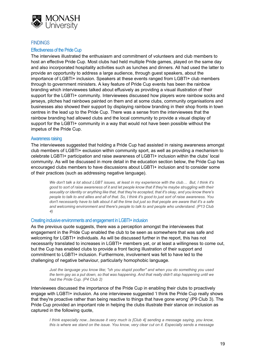

#### <span id="page-18-0"></span>**FINDINGS**

#### <span id="page-18-1"></span>Effectiveness of the Pride Cup

The interviews illustrated the enthusiasm and commitment of volunteers and club members to host an effective Pride Cup. Most clubs had held multiple Pride games, played on the same day and also incorporated hospitality activities such as lunches and dinners. All had used the latter to provide an opportunity to address a large audience, through guest speakers, about the importance of LGBTI+ inclusion. Speakers at these events ranged from LGBTI+ club members through to government ministers. A key feature of Pride Cup events has been the rainbow branding which interviewees talked about effusively as providing a visual illustration of their support for the LGBTI+ community. Interviewees discussed how players wore rainbow socks and jerseys, pitches had rainbows painted on them and at some clubs, community organisations and businesses also showed their support by displaying rainbow branding in their shop fronts in town centres in the lead up to the Pride Cup. There was a sense from the interviewees that the rainbow branding had allowed clubs and the local community to provide a visual display of support for the LGBTI+ community in a way that would not have been possible without the impetus of the Pride Cup.

#### <span id="page-18-2"></span>Awareness raising

The interviewees suggested that holding a Pride Cup had assisted in raising awareness amongst club members of LGBTI+ exclusion within community sport, as well as providing a mechanism to celebrate LGBTI+ participation and raise awareness of LGBTI+ inclusion within the clubs' local community. As will be discussed in more detail in the education section below, the Pride Cup has encouraged clubs members to have discussions about LGBTI+ inclusion and to consider some of their practices (such as addressing negative language).

*We don't talk a lot about LGBT issues, at least in my experience with the club… But, I think it's good to sort of raise awareness of it and let people know that if they're maybe struggling with their sexuality or identity or anything like that, that they're accepted, that it's okay, and you know there's people to talk to and allies and all of that. So, I think it's good to just sort of raise awareness. You don't necessarily have to talk about it all the time but just so that people are aware that it's a safe and welcoming environment and there's people to talk to and people who understand. (P13 Club 4)* 

#### <span id="page-18-3"></span>Creating inclusive environments and engagement in LGBTI+ inclusion

As the previous quote suggests, there was a perception amongst the interviewees that engagement in the Pride Cup enabled the club to be seen as somewhere that was safe and welcoming for LGBTI+ individuals. As will be discussed further in the report, this has not necessarily translated to increases in LGBTI+ members yet, or at least a willingness to come out, but the Cup has enabled clubs to provide a front facing illustration of their support and commitment to LGBTI+ inclusion. Furthermore, involvement was felt to have led to the challenging of negative behaviour, particularly homophobic language.

*Just the language you know like; "oh you stupid poofter" and when you do something you used the term gay as a put down, so that was happening. And that really didn't stop happening until we had the Pride Cup. (P4 Club 2)*

Interviewees discussed the importance of the Pride Cup in enabling their clubs to proactively engage with LGBTI+ inclusion. As one interviewee suggested 'I think the Pride Cup really shows that they're proactive rather than being reactive to things that have gone wrong' (P9 Club 3). The Pride Cup provided an important role in helping the clubs illustrate their stance on inclusion as captured in the following quote,

*I think especially now...because it very much is [Club 4] sending a message saying, you know, this is where we stand on the issue. You know, very clear cut on it. Especially sends a message*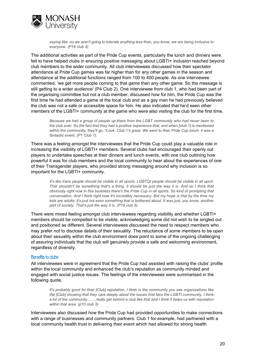

*saying like, no we aren't going to tolerate anything less than, you know, we are being inclusive to everyone. (P16 club 4)* 

The additional activities as part of the Pride Cup events, particularly the lunch and dinners were felt to have helped clubs in ensuring positive messaging about LGBTI+ inclusion reached beyond club members to the wider community. All club interviewees discussed how their spectator attendance at Pride Cup games was far higher than for any other games in the season and attendance at the additional functions ranged from 100 to 400 people. As one interviewee commented, 'we get more people coming to that game than any other game. So the message is still getting to a wider audience' (P4 Club 2). One interviewee from club 1, who had been part of the organising committee but not a club member, discussed how for him, the Pride Cup was the first time he had attended a game at the local club and as a gay man he had previously believed the club was not a safe or accessible space for him. He also indicated that he'd seen other members of the LGBTI+ community at the game who were also visiting the club for the first time.

*Because we had a group of people up there from the LGBT community who had never been to the club ever. So the fact that they had a positive experience that, and when [club 1] is mentioned within the community, they'll go, "Look, Club 1's great. We went to their Pride Cup lunch, it was a fantastic event. (P1 Club 1).* 

There was a feeling amongst the interviewees that the Pride Cup could play a valuable role in increasing the visibility of LGBTI+ members. Several clubs had encouraged their openly out players to undertake speeches at their dinners and lunch events, with one club outlining how powerful it was for club members and the local community to hear about the experiences of one of their Transgender players, who provided strong messaging around why inclusion is so important for the LGBTI+ community.

*It's like trans people should be visible in all sports. LGBTQI people should be visible in all sport. That shouldn't be something that's a thing, it should be just the way it is. And so I think that obviously right now in this business there's the Pride Cup in all sports. So kind of prompting that conversation. And I think right now it's incredibly necessary. But my hope is that by the time my kids are adults, it's just not even something that is bothered about. It was just, you know, another part of society. That's just the way it is. (P19 club 5)* 

There were mixed feeling amongst club interviewees regarding visibility and whether LGBTI+ members should be compelled to be visible, acknowledging some did not wish to be singled out and positioned as different. Several interviewees discussed the need to respect members who may prefer not to disclose details of their sexuality. The reluctance of some members to be open about their sexuality within the club environment does point to some of the ongoing challenging of assuring individuals that the club will genuinely provide a safe and welcoming environment, regardless of diversity.

#### <span id="page-19-0"></span>Benefits to clubs

All interviewees were in agreement that the Pride Cup had assisted with raising the clubs' profile within the local community and enhanced the club's reputation as community minded and engaged with social justice issues. The feelings of the interviewees were summarised in the following quote,

*It's probably good for their [Club] reputation. I think in the community you see organizations like the [Club] showing that they care deeply about the issues that face the LGBTI community, I think a lot of the community…….really get behind a club like that and I think it helps us with reputation within that area. (p10 club 3)* 

Interviewees also discussed how the Pride Cup had provided opportunities to make connections with a range of businesses and community partners. Club 1 for example, had partnered with a local community health trust in delivering their event which had allowed for strong health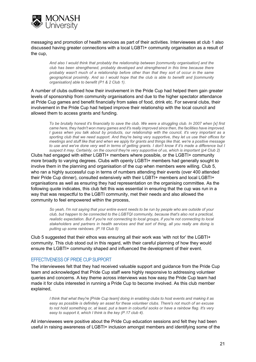

messaging and promotion of health services as part of their activities. Interviewees at club 1 also discussed having greater connections with a local LGBTI+ community organisation as a result of the cup,

*And also I would think that probably the relationship between [community organisation] and the club has been strengthened, probably developed and strengthened in this time because there probably wasn't much of a relationship before other than that they sort of occur in the same geographical proximity. And so I would hope that the club is able to benefit and [community organisation] able to benefit (P1 & 2 Club 1).* 

A number of clubs outlined how their involvement in the Pride Cup had helped them gain greater levels of sponsorship from community organisations and due to the higher spectator attendance at Pride Cup games and benefit financially from sales of food, drink etc. For several clubs, their involvement in the Pride Cup had helped improve their relationship with the local council and allowed them to access grants and funding.

*To be brutally honest it's financially to save the club. We were a struggling club. In 2007 when [x] first came here, they hadn't won many games and it's really improved since then, the facilities have improved. I guess when you talk about by products, our relationship with the council, it's very important as a sporting club that we need support. And they're being very supportive, they let us use their offices for meetings and stuff like that and when we apply for grants and things like that, we're a positive message to use and we've done very well in terms of getting grants. I don't know if it's made a difference but I suspect it may. Certainly, on the council they're very supportive of us, which is important (p4 Club 2)* Clubs had engaged with either LGBTI+ members where possible, or the LGBTI+ community more broadly to varying degrees. Clubs with openly LGBTI+ members had generally sought to involve them in the planning and organisation of the cup when members were willing. Club 5, who ran a highly successful cup in terms of numbers attending their events (over 400 attended their Pride Cup dinner), consulted extensively with their LGBTI+ members and local LGBTI+ organisations as well as ensuring they had representation on the organising committee. As the following quote indicates, this club felt this was essential in ensuring that the cup was run in a way that was respectful to the LGBTI community, met their needs and also allowed the community to feel empowered within the process,

*So yeah, I'm not saying that your entire event needs to be run by people who are outside of your club, but happen to be connected to the LGBTQI community, because that's also not a practical, realistic expectation. But if you're not connecting to local groups, if you're not connecting to local stakeholders and partners in health services and that sort of thing, all you really are doing is putting up some rainbows. (P.18 Club 5)*

Club 5 suggested that their ethos was ensuring all their work was 'with not for' the LGBTI+ community. This club stood out in this regard, with their careful planning of how they would ensure the LGBTI+ community shaped and influenced the development of their event.

#### <span id="page-20-0"></span>EFFECTIVENESS OF PRIDE CUP SUPPORT

The interviewees felt that they had received valuable support and guidance from the Pride Cup team and acknowledged that Pride Cup staff were highly responsive to addressing volunteer queries and concerns. A key theme across interviews was how easy the Pride Cup team had made it for clubs interested in running a Pride Cup to become involved. As this club member explained,

*I think that what they're [Pride Cup team] doing in enabling clubs to host events and making it as easy as possible is definitely an asset for these volunteer clubs. There's not much of an excuse to not hold something or, at least, put a team in colourful socks or have a rainbow flag. It's very easy to support it, which I think is the key (P.17 club 4).*

All interviewees were positive about the Pride Cup education sessions and felt they had been useful in raising awareness of LGBTI+ inclusion amongst members and identifying some of the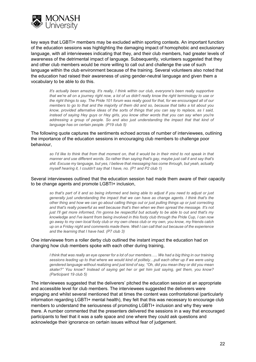

key ways that LGBTI+ members may be excluded within sporting contexts. An important function of the education sessions was highlighting the damaging impact of homophobic and exclusionary language, with all interviewees indicating that they, and their club members, had greater levels of awareness of the detrimental impact of language. Subsequently, volunteers suggested that they and other club members would be more willing to call out and challenge the use of such language within the club environment because of the training. Several volunteers also noted that the education had raised their awareness of using gender-neutral language and given them a vocabulary to be able to do this.

*It's actually been amazing. It's really, I think within our club, everyone's been really supportive that we're all on a journey right now, a lot of us didn't really know the right terminology to use or the right things to say. The Pride 101 forum was really good for that, for we encouraged all of our members to go to that and the majority of them did and so, because that talks a lot about you know, provided alternative ideas of the sorts of things that you can say to replace, as I said, instead of saying Hey guys or Hey girls, you know other words that you can say when you're addressing a group of people. So and also just understanding the impact that that kind of language has on certain people. (P19 club 5)*

The following quote captures the sentiments echoed across of number of interviewees, outlining the importance of the education sessions in encouraging club members to challenge poor behaviour,

so I'd like to think that from that moment on, that it would be in their mind to not speak in that *manner and use different words. So rather than saying that's gay, maybe just call it and say that's shit. Excuse my language, but yes, I believe that messaging has come through, but yeah, actually myself hearing it, I couldn't say that I have, no. (P1 and P2 club 1)*

Several interviewees outlined that the education session had made them aware of their capacity to be change agents and promote LGBTI+ inclusion,

*so that's part of it and so being informed and being able to adjust if you need to adjust or just generally just understanding the impact that we can have as change agents. I think that's the other thing and how we can go about calling things out or just pulling things up or just correcting and that's really powerful as well because that's then when we then spread the message. It's not just I'll get more informed, I'm gonna be respectful but actually to be able to out and that's my knowledge and I've learnt from being involved in this footy club through the Pride Cup, I can now go away to my own local footy club or my own chess club or my own, you know, my friends catch up on a Friday night and comments made there. Well I can call that out because of the experience and the learning that I have had. (P7 club 3)*

One interviewee from a roller derby club outlined the instant impact the education had on changing how club members spoke with each other during training,

> *I think that was really an eye opener for a lot of our members….. We had a big thing in our training sessions leading up to that where we would kind of politely…pull each other up if we were using gendered language without realizing and just kind of say, "Oh, did you mean they or did you mean skater?" You know? Instead of saying get her or get him just saying, get them, you know? (Participant 19 club 5)*

The interviewees suggested that the deliverers' pitched the education session at an appropriate and accessible level for club members. The interviewees suggested the deliverers were engaging and whilst several mentioned that at times the content was confrontational (particularly information regarding LGBTI+ mental health), they felt that this was necessary to encourage club members to understand the seriousness of promoting LGBTI+ inclusion and why they were there. A number commented that the presenters delivered the sessions in a way that encouraged participants to feel that it was a safe space and one where they could ask questions and acknowledge their ignorance on certain issues without fear of judgement.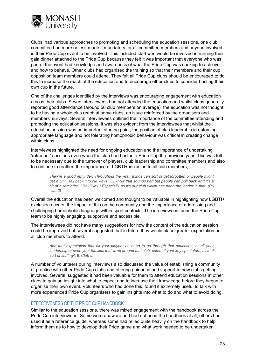

Clubs' had various approaches to promoting and scheduling the education sessions, one club committee had more or less made it mandatory for all committee members and anyone involved in their Pride Cup event to be involved. This included staff who would be involved in running their gala dinner attached to the Pride Cup because they felt it was important that everyone who was part of the event had knowledge and awareness of what the Pride Cup was seeking to achieve and how to behave. Other clubs had organised the training so that their members and their cup opposition team members could attend. They felt all Pride Cup clubs should be encouraged to do this to increase the reach of the education and to encourage other clubs to consider hosting their own cup in the future.

One of the challenges identified by the interviews was encouraging engagement with education across their clubs. Seven interviewees had not attended the education and whilst clubs generally reported good attendance (around 50 club members on average), the education was not thought to be having a whole club reach at some clubs, an issue reinforced by the organisers and members' surveys. Several interviewees outlined the importance of the committee attending and promoting the education sessions. It was also evident from the interviewees that whilst the education session was an important starting point, the position of club leadership in enforcing appropriate language and not tolerating homophobic behaviour was critical in creating change within clubs.

Interviewees highlighted the need for ongoing education and the importance of undertaking 'refresher' sessions even when the club had hosted a Pride Cup the previous year. This was felt to be necessary due to the turnover of players, club leadership and committee members and also to continue to reaffirm the importance of LGBTI+ inclusion to all club members,

*They're a good reminder. Throughout the year, things can sort of get forgotten or people might get a bit ... fall back into old ways…..I know that sounds bad but people can pull back and it's a bit of a reminder. Like, "Hey." Especially as it's our club which has been the leader in that. (P6 club 2)* 

Overall the education has been welcomed and thought to be valuable in highlighting how LGBTI+ exclusion occurs, the impact of this on the community and the importance of addressing and challenging homophobic language within sport contexts. The interviewees found the Pride Cup team to be highly engaging, supportive and accessible.

The interviewees did not have many suggestions for how the content of the education session could be improved but several suggested that in future they would place greater expectation on all club members to attend.

*And that expectation that all your players do need to go through that education, or all your leadership or even your families that wrap around that club, some of your key spectators, all that sort of stuff. (P18. Club 5)*

A number of volunteers during interviews also discussed the value of establishing a community of practice with other Pride Cup clubs and offering guidance and support to new clubs getting involved. Several, suggested it had been valuable for them to attend education sessions at other clubs to gain an insight into what to expect and to increase their knowledge before they began to organise their own event. Volunteers who had done this, found it extremely useful to talk with more experienced Pride Cup organisers to gain insights into what to do and what to avoid doing.

#### <span id="page-22-0"></span>EFFECTIVENESS OF THE PRIDE CUP HANDBOOK

Similar to the education sessions, there was mixed engagement with the handbook across the Pride Cup interviewees. Some were unaware and had not used the handbook at all, others had used it as a reference guide, whereas some had relied quite heavily on the handbook to help inform them as to how to develop their Pride game and what work needed to be undertaken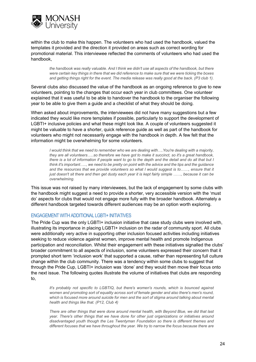

within the club to make this happen. The volunteers who had used the handbook, valued the templates it provided and the direction it provided on areas such as correct wording for promotional material. This interviewee reflected the comments of volunteers who had used the handbook,

*the handbook was really valuable. And I think we didn't use all aspects of the handbook, but there were certain key things in there that we did reference to make sure that we were ticking the boxes and getting things right for the event. The media release was really good at the back. (P3 club 1).* 

Several clubs also discussed the value of the handbook as an ongoing reference to give to new volunteers, pointing to the changes that occur each year in club committees. One volunteer explained that it was useful to be able to handover the handbook to the organiser the following year to be able to give them a guide and a checklist of what they should be doing.

When asked about improvements, the interviewees did not have many suggestions but a few indicated they would like more templates if possible, particularly to support the development of LGBTI+ inclusive policies and what these might look like. A couple of volunteers suggested it might be valuable to have a shorter, quick reference guide as well as part of the handbook for volunteers who might not necessarily engage with the handbook in depth. A few felt that the information might be overwhelming for some volunteers.

*I would think that we need to remember who we are dealing with….You're dealing with a majority, they are all volunteers…..so therefore we have got to make it succinct, so it's a great handbook, there is a lot of information if people want to go to the depth and the detail and do all that but I think it's important….., we need to be pretty on point with the advice and the tips and the guidance and the resources that we provide volunteers so what I would suggest is to……, ensure that it just doesn't sit there and then get dusty each year it is kept fairly simple ……, because it can be overwhelming.* 

This issue was not raised by many interviewees, but the lack of engagement by some clubs with the handbook might suggest a need to provide a shorter, very accessible version with the 'must do' aspects for clubs that would not engage more fully with the broader handbook. Alternately a different handbook targeted towards different audiences may be an option worth exploring.

#### <span id="page-23-0"></span>ENGAGEMENT WITH ADDITIONAL LGBTI+ INITIATIVES

The Pride Cup was the only LGBTI+ inclusion initiative that case study clubs were involved with, illustrating its importance in placing LGBTI+ inclusion on the radar of community sport. All clubs were additionally very active in supporting other inclusion focused activities including initiatives seeking to reduce violence against women, improve mental health and promote Indigenous participation and reconciliation. Whilst their engagement with these initiatives signalled the clubs' broader commitment to all aspects of inclusion, some volunteers expressed their concern that it prompted short term 'inclusion work' that supported a cause, rather than representing full culture change within the club community. There was a tendency within some clubs to suggest that through the Pride Cup, LGBTI+ inclusion was 'done' and they would then move their focus onto the next issue. The following quotes illustrate the volume of initiatives that clubs are responding to,

*It's probably not specific to LGBTIQ, but there's women's rounds, which is bounced against women and promoting sort of equality across sort of female gender and also there's men's round, which is focused more around suicide for men and the sort of stigma around talking about mental health and things like that. (P12, Club 4)*

*There are other things that were done around mental health, with Beyond Blue, we did that last year. There's other things that we have done for other just organizations or initiatives around disadvantaged youth though the Les Twentyman Foundation so there is different themes and different focuses that we have throughout the year. We try to narrow the focus because there are*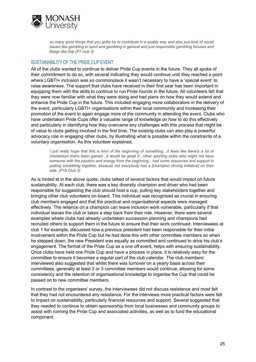

*so many good things that you gotta try to contribute in a quality way and also just kind of social issues like gambling in sport and gambling in general and just responsible gambling focuses and things like that (P7 club 3)* 

#### <span id="page-24-0"></span>SUSTAINABILITY OF THE PRIDE CUP EVENT

All of the clubs wanted to continue to deliver Pride Cup events in the future. They all spoke of their commitment to do so, with several indicating they would continue until they reached a point where LGBTI+ inclusion was so commonplace it wasn't necessary to have a 'special event' to raise awareness. The support that clubs have received in their first year has been important in equipping them with the skills to continue to run Pride rounds in the future. All volunteers felt that they were now familiar with what they were doing and had plans on how they would extend and enhance the Pride Cup in the future. This included engaging more collaborators in the delivery of the event, particularly LGBTI+ organisations within their local community and increasing their promotion of the event to again engage more of the community in attending the event. Clubs who have undertaken Pride Cups offer a valuable range of knowledge on how to do this effectively and particularly in identifying how they overcame any challenges with this process that might be of value to clubs getting involved in the first time. The existing clubs can also play a powerful advocacy role in engaging other clubs, by illustrating what is possible within the constraints of a voluntary organisation. As this volunteer explained,

*I just really hope that this is kind of the beginning of something...it feels like there's a lot of momentum that's been gained…it would be great if…other sporting clubs who might not have someone with the passion and energy from the beginning…had some resources and support in putting something together, because not everybody has a [champion driving initiative] on their side. (P19 Club 5)*

As is hinted at in the above quote, clubs talked of several factors that would impact on future sustainability. At each club, there was a key diversity champion and driver who had been responsible for suggesting the club should host a cup, pulling key stakeholders together and bringing other club volunteers on-board. This individual was recognised as crucial in ensuring club members engaged and that the practical and organisational aspects were managed effectively. The reliance on a champion can leave inclusion work vulnerable, particularly if that individual leaves the club or takes a step back from their role. However, there were several examples where clubs had already undertaken succession planning and champions had recruited others to support them in the future to ensure that their work continued. Interviewees at club 1 for example, discussed how a previous president had been responsible for their initial involvement within the Pride Cup but he had done this with other committee members so when he stepped down, the new President was equally as committed and continued to drive his club's engagement. The format of the Pride Cup as a one off event, helps with ensuring sustainability. Once clubs have held one Pride Cup and have a process in place, it is relatively easy for the committee to ensure it becomes a regular part of the club calendar. The club members' interviewed also suggested that whilst there was turnover on a yearly basis across their committees, generally at least 2 or 3 committee members would continue, allowing for some consistency and the retention of organisational knowledge to organise the Cup that could be passed on to new committee members.

In contrast to the organisers' survey, the interviewees did not discuss resistance and most felt that they had not encountered any resistance. For the interviews more practical factors were felt to impact on sustainability, particularly financial resources and support. Several suggested that they needed to continue to obtain sponsorship from local businesses and community groups to assist with running the Pride Cup and associated activities, as well as to fund the educational component.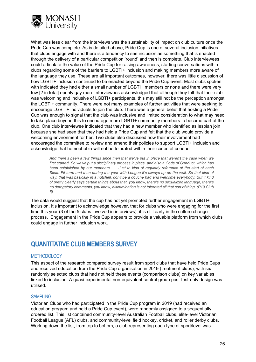

What was less clear from the interviews was the sustainability of impact on club culture once the Pride Cup was complete. As is detailed above, Pride Cup is one of several inclusion initiatives that clubs engage with and there is a tendency to see inclusion as something that is enacted through the delivery of a particular competition 'round' and then is complete. Club interviewees could articulate the value of the Pride Cup for raising awareness, starting conversations within clubs regarding some of the barriers to LGBTI+ inclusion and making members more aware of the language they use. These are all important outcomes, however, there was little discussion of how LGBTI+ inclusion continued to be enacted beyond the Pride Cup event. Most clubs spoken with indicated they had either a small number of LGBTI+ members or none and there were very few [2 in total] openly gay men. Interviewees acknowledged that although they felt that their club was welcoming and inclusive of LGBTI+ participants, this may still not be the perception amongst the LGBTI+ community. There were not many examples of further activities that were seeking to encourage LGBTI+ individuals to join the club. There was a general belief that hosting a Pride Cup was enough to signal that the club was inclusive and limited consideration to what may need to take place beyond this to encourage more LGBTI+ community members to become part of the club. One club interviewee indicated that they had a new member who identified as lesbian join because she had seen that they had held a Pride Cup and felt that the club would provide a welcoming environment for her. Two clubs also discussed how their involvement had encouraged the committee to review and amend their policies to support LGBTI+ inclusion and acknowledge that homophobia will not be tolerated within their codes of conduct.

*And there's been a few things since then that we've put in place that weren't the case when we first started. So we've put a disciplinary process in place, and also a Code of Conduct, which has been established by our members…….Just to kind of regularly reference at the start of each Skate Fit term and then during the year with League it's always up on the wall. So that kind of way, that was basically in a nutshell, don't be a douche bag and welcome everybody. But it kind of pretty clearly says certain things about that, you know, there's no sexualized language, there's no derogatory comments, you know, discrimination is not tolerated all that sort of thing. (P19 Club 5)* 

The data would suggest that the cup has not yet prompted further engagement in LGBTI+ inclusion. It's important to acknowledge however, that for clubs who were engaging for the first time this year (3 of the 5 clubs involved in interviews), it is still early in the culture change process. Engagement in the Pride Cup appears to provide a valuable platform from which clubs could engage in further inclusion work.

# <span id="page-25-0"></span>**QUANTITATIVE CLUB MEMBERS SURVEY**

#### <span id="page-25-1"></span>METHODOLOGY

This aspect of the research compared survey result from sport clubs that have held Pride Cups and received education from the Pride Cup organisation in 2019 (treatment clubs), with six randomly selected clubs that had not held these events (comparison clubs) on key variables linked to inclusion. A quasi-experimental non-equivalent control group post-test-only design was utilised.

#### <span id="page-25-2"></span>**SAMPLING**

Victorian Clubs who had participated in the Pride Cup program in 2019 (had received an education program and held a Pride Cup event), were randomly assigned to a sequentially ordered list. This list contained community-level Australian Football clubs, elite-level Victorian Football League (AFL) clubs, and community-level field hockey, cricket, and roller derby clubs. Working down the list, from top to bottom, a club representing each type of sport/level was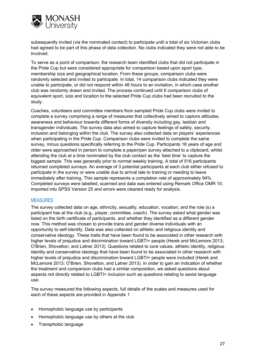

subsequently invited (via the nominated contact) to participate until a total of six Victorian clubs had agreed to be part of this phase of data collection. No clubs indicated they were not able to be involved.

To serve as a point of comparison, the research team identified clubs that did not participate in the Pride Cup but were considered appropriate for comparison based upon sport type, membership size and geographical location. From these groups, comparison clubs were randomly selected and invited to participate. In total, 14 comparison clubs indicated they were unable to participate, or did not respond within 48 hours to an invitation, in which case another club was randomly drawn and invited. The process continued until 6 comparison clubs of equivalent sport, size and location to the selected Pride Cup clubs had been recruited to the study.

Coaches, volunteers and committee members from sampled Pride Cup clubs were invited to complete a survey comprising a range of measures that collectively aimed to capture attitudes, awareness and behaviour towards different forms of diversity including gay, lesbian and transgender individuals. The survey data also aimed to capture feelings of safety, security, inclusion and belonging within the club. The survey also collected data on players' experiences when participating in the Pride Cup. Comparison clubs were invited to complete the same survey, minus questions specifically referring to the Pride Cup. Participants 18 years of age and older were approached in person to complete a paper/pen survey attached to a clipboard, whilst attending the club at a time nominated by the club contact as the 'best time' to capture the biggest sample. This was generally prior to normal weekly training. A total of 516 participants returned completed surveys. An average of 3 potential participants at each club either refused to participate in the survey or were unable due to arrival late to training or needing to leave immediately after training. This sample represents a completion rate of approximately 94%. Completed surveys were labelled, scanned and data was entered using Remark Office OMR 10, imported into SPSS Version 25 and errors were cleaned ready for analysis.

#### <span id="page-26-0"></span>MEASURES

The survey collected data on age, ethnicity, sexuality, education, vocation, and the role (s) a participant has at the club (e.g., player, committee, coach). The survey asked what gender was listed on the birth certificate of participants, and whether they identified as a different gender now. This method was chosen to provide trans and gender diverse individuals with an opportunity to self-identify. Data was also collected on athletic and religious identity and conservative ideology. These traits that have been found to be associated in other research with higher levels of prejudice and discrimination toward LGBTI+ people (Herek and McLemore 2013; O'Brien, Shovelton, and Latner 2013). Questions related to core values, athletic identity, religious identity and conservative ideology that have been found to be associated in other research with higher levels of prejudice and discrimination toward LGBTI+ people were included (Herek and McLemore 2013; O'Brien, Shovelton, and Latner 2013). In order to gain an indication of whether the treatment and comparison clubs had a similar composition, we asked questions about aspects not directly related to LGBTI+ inclusion such as questions relating to sexist language use.

The survey measured the following aspects, full details of the scales and measures used for each of these aspects are provided in Appendix 1

- Homophobic language use by participants
- Homophobic language use by others at the club
- Transphobic language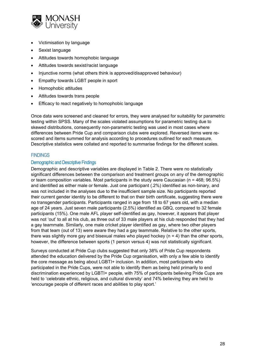

- Victimisation by language
- Sexist language
- Attitudes towards homophobic language
- Attitudes towards sexist/racist language
- Injunctive norms (what others think is approved/disapproved behaviour)
- Empathy towards LGBT people in sport
- Homophobic attitudes
- Attitudes towards trans people
- Efficacy to react negatively to homophobic language

Once data were screened and cleaned for errors, they were analysed for suitability for parametric testing within SPSS. Many of the scales violated assumptions for parametric testing due to skewed distributions, consequently non-parametric testing was used in most cases where differences between Pride Cup and comparison clubs were explored. Reversed items were rescored and items summed for analysis according to procedures outlined for each measure. Descriptive statistics were collated and reported to summarise findings for the different scales.

#### <span id="page-27-0"></span>**FINDINGS**

#### <span id="page-27-1"></span>Demographic and Descriptive Findings

Demographic and descriptive variables are displayed in Table 2. There were no statistically significant differences between the comparison and treatment groups on any of the demographic or team composition variables. Most participants in the study were Caucasian (n = 468; 96.5%) and identified as either male or female. Just one participant (.2%) identified as non-binary, and was not included in the analyses due to the insufficient sample size. No participants reported their current gender identity to be different to that on their birth certificate, suggesting there were no transgender participants. Participants ranged in age from 18 to 67 years old, with a median age of 24 years. Just seven male participants (2.5%) identified as GBQ, compared to 32 female participants (15%). One male AFL player self-identified as gay, however, it appears that player was not 'out' to all at his club, as three out of 33 male players at his club responded that they had a gay teammate. Similarly, one male cricket player identified as gay, where two other players from that team (out of 13) were aware they had a gay teammate. Relative to the other sports, there was slightly more gay and bisexual males who played hockey ( $n = 4$ ) than the other sports, however, the difference between sports (1 person versus 4) was not statistically significant.

Surveys conducted at Pride Cup clubs suggested that only 38% of Pride Cup respondents attended the education delivered by the Pride Cup organisation, with only a few able to identify the core message as being about LGBTI+ inclusion. In addition, most participants who participated in the Pride Cups, were not able to identify them as being held primarily to end discrimination experienced by LGBTI+ people, with 75% of participants believing Pride Cups are held to 'celebrate ethnic, religious, and cultural diversity' and 74% believing they are held to 'encourage people of different races and abilities to play sport.'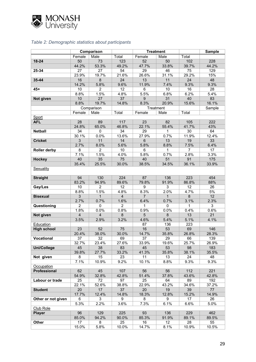

### <span id="page-28-0"></span>*Table 2: Demographic statistics about participants*

|                     |                        | Comparison             |                 | <b>Treatment</b> |                      |            | <b>Sample</b> |
|---------------------|------------------------|------------------------|-----------------|------------------|----------------------|------------|---------------|
|                     | Female                 | Male                   | Total           | Female           | Male                 | Total      |               |
| 18-24               | 50                     | 73                     | 123             | 52               | 50                   | 102        | 228           |
|                     | 44.2%                  | 53.3%                  | 49.2%           | 47.7%            | 33.8%                | 39.7%      | 44.2%         |
| 25-34               | $\overline{27}$        | $\overline{27}$        | 54              | 29               | 46                   | 75         | 129           |
|                     | 23.9%                  | 19.7%                  | 21.6%           | 26.6%            | 31.1%                | 29.2%      | 15%           |
| 35-44               | 16                     | $\overline{8}$         | 24              | 13               | 11                   | 24         | 48            |
|                     | 14.2%                  | 5.8%                   | 9.6%            | 11.9%            | 7.4%                 | 9.3%       | 9.3%          |
| $45+$               | 10                     | $\overline{2}$         | $\overline{12}$ | 6                | 10                   | 16         | 28            |
|                     | 8.8%                   | 1.5%                   | 4.8%            | 5.5%             | 6.8%                 | 6.2%       | 5.4%          |
| Not given           | 10                     | 27                     | 37              | 9                | 31                   | 40         | 83            |
|                     | 8.8%                   | 19.7%                  | 14.8%           | 8.3%             | 20.9%                | 15.6%      | 16.1%         |
|                     |                        | Comparison             |                 |                  | Treatment            |            | Sample        |
|                     | Female                 | Male                   | Total           | Female           | Male                 | Total      |               |
| Sport               |                        |                        |                 |                  |                      |            |               |
| <b>AFL</b>          | 28                     | 89                     | 117             | 23               | 82                   | 105        | 222           |
|                     | 24.8%                  | 65.0%                  | 46.8%           | 22.1%            | 55.4%                | 41.7%      | 43%           |
| <b>Netball</b>      | 34                     | $\mathbf 0$            | 34              | 29               | $\mathbf{1}$         | 30         | 64            |
|                     | 30.1%                  | 0.0%                   | 13.6%           | 27.9%            | 0.7%                 | 11.9%      | 12.4%         |
| <b>Cricket</b>      | $\overline{3}$<br>2.7% | 11                     | 14              | $6\overline{6}$  | 13                   | 19         | 33            |
|                     |                        | 8.0%<br>$\overline{2}$ | 5.6%            | 5.8%<br>6        | 8.8%<br>$\mathbf{1}$ | 7.5%       | 6.4%<br>17    |
| <b>Roller derby</b> | 8<br>7.1%              | 1.5%                   | 10<br>4.0%      | 5.8%             | 0.7%                 | 7<br>2.8%  | 3.3%          |
| <b>Hockey</b>       | 40                     | 35                     | 75              | 40               | 51                   | 91         | 175           |
|                     | 35.4%                  | 25.5%                  | 30.0%           | 38.5%            | 34.5%                | 36.1%      | 33.9%         |
| <b>Sexuality</b>    |                        |                        |                 |                  |                      |            |               |
|                     |                        |                        |                 |                  |                      |            |               |
| <b>Straight</b>     | 94                     | 130                    | 224             | 87               | 136                  | 223        | 454           |
|                     | 83.2%                  | 94.9%                  | 89.6%           | 79.8%            | 91.9%                | 86.8%      | 88%           |
| Gay/Les             | 10                     | $\overline{2}$         | 12              | 9                | $\overline{3}$       | 12         | 26            |
|                     | 8.8%                   | 1.5%                   | 4.8%            | 8.3%             | 2.0%                 | 4.7%       | 5%            |
| <b>Bisexual</b>     | 3                      | $\mathbf{1}$           | $\overline{4}$  | 7                | $\mathbf{1}$         | $\bf 8$    | 12            |
|                     | 2.7%                   | 0.7%                   | 1.6%            | 6.4%             | 0.7%                 | 3.1%       | 2.3%          |
| Questioning         | $\overline{2}$         | 0                      | $\overline{c}$  | 1                | $\mathbf 0$          | 1          | 3             |
|                     | 1.8%                   | 0.0%                   | 0.8%            | 0.9%             | 0.0%                 | 0.4%       | 0.6%          |
| Not given           | $\overline{4}$         | $\overline{4}$         | $\overline{8}$  | $\overline{5}$   | 8                    | 13         | 21            |
|                     | 3.5%                   | 2.9%                   | 3.2%            | 4.6%             | 5.4%                 | 5.1%       | 4.1%          |
| Education           |                        |                        |                 | 87               | 136                  | 223        |               |
| <b>High school</b>  | 23                     | 52                     | 75              | 16               | 53                   | 69         | 146           |
|                     | 20.4%                  | 38.0%                  | 30.0%           | 14.7%            | 35.8%                | 26.8%      | 28.3%         |
| <b>Vocational</b>   | 37                     | 32                     | 69              | 37               | 29                   | 66         | 139           |
|                     | 32.7%                  | 23.4%                  | 27.6%           | 33.9%            | 19.6%                | 25.7%      | 26.9%         |
| Uni/College         | 45                     | 38                     | 83              | 45               | 53                   | 98         | 183           |
|                     | 39.8%                  | 27.7%                  | 33.2%           | 41.3%            | 35.8%                | 38.1%      | 35.5%         |
| Not given           | 8<br>7.1%              | 15<br>10.9%            | 23<br>9.2%      | 11<br>10.1%      | 13<br>8.8%           | 24<br>9.3% | 48<br>9.3%    |
| Occupation          |                        |                        |                 |                  |                      |            |               |
| <b>Professional</b> | 62                     | 45                     | 107             | 56               | 56                   | 112        | 221           |
|                     | 54.9%                  | 32.8%                  | 42.8%           | 51.4%            | 37.8%                | 43.6%      | 42.8%         |
| Labour or trade     | 25                     | 72                     | 97              | $\overline{25}$  | 64                   | 89         | 192           |
|                     | 22.1%                  | 52.6%                  | 38.8%           | 22.9%            | 43.2%                | 34.6%      | 37.2%         |
| <b>Student</b>      | 20                     | 17                     | 37              | 20               | 19                   | 39         | 77            |
|                     | 17.7%                  | 12.4%                  | 14.8%           | 18.3%            | 12.8%                | 15.2%      | 14.9%         |
| Other or not given  | 6                      | 3                      | 9               | 8                | 9                    | 17         | 26            |
|                     | 5.3%                   | 2.2%                   | 3.6%            | 7.3%             | 6.1%                 | 6.6%       | 5.0%          |
| Club Role           |                        |                        |                 |                  |                      |            |               |
| <b>Player</b>       | 96                     | 129                    | 225             | 93               | 136                  | 229        | 462           |
|                     | 85.0%                  | 94.2%                  | 90.0%           | 85.3%            | 91.9%                | 89.1%      | 89.5%         |
| Other               | 17                     | 8                      | 25              | 16               | 12                   | 28         | 55            |
|                     | 15.0%                  | 5.8%                   | 10.0%           | 14.7%            | 8.1%                 | 10.9%      | 10.5%         |
|                     |                        |                        |                 |                  |                      |            |               |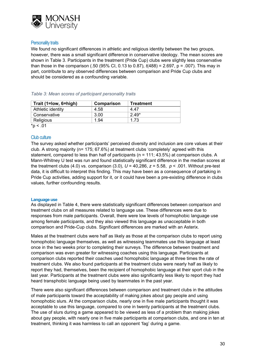

#### <span id="page-29-0"></span>Personality traits

We found no significant differences in athletic and religious identity between the two groups, however, there was a small significant difference in conservative ideology. The mean scores are shown in Table 3. Participants in the treatment (Pride Cup) clubs were slightly less conservative than those in the comparison (.50 (95% CI, 0.13 to 0.87), *t*(488) = 2.697, p = .007). This may in part, contribute to any observed differences between comparison and Pride Cup clubs and should be considered as a confounding variable.

| Trait (1=low, 6=high) | Comparison | <b>Treatment</b> |
|-----------------------|------------|------------------|
| Athletic identity     | 4.58       | 4.47             |
| Conservative          | 3.00       | $2.49*$          |
| Religious             | 1.94       | 1.73             |
| $*_{p}$ $\sim$ 01     |            |                  |

<span id="page-29-2"></span>*Table 3: Mean scores of participant personality traits*

\*p < .01

#### <span id="page-29-1"></span>Club culture

The survey asked whether participants' perceived diversity and inclusion are core values at their club. A strong majority (n= 175; 67.6%) at treatment clubs 'completely' agreed with this statement, compared to less than half of participants (n = 111; 43.5%) at comparison clubs. A Mann-Whitney U test was run and found statistically significant difference in the median scores at the treatment clubs (4.0) vs. comparison (3.0), *U* = 40,286, *z* = 5.58, *p* < .001. Without pre-test data, it is difficult to interpret this finding. This may have been as a consequence of partaking in Pride Cup activities, adding support for it, or it could have been a pre-existing difference in clubs values, further confounding results.

#### **Language use**

As displayed in Table 4, there were statistically significant differences between comparison and treatment clubs on all measures related to language use. These differences were due to responses from male participants. Overall, there were low levels of homophobic language use among female participants, and they also viewed this language as unacceptable in both comparison and Pride-Cup clubs. Significant differences are marked with an Asterix.

Males at the treatment clubs were half as likely as those at the comparison clubs to report using homophobic language themselves, as well as witnessing teammates use this language at least once in the two weeks prior to completing their surveys. The difference between treatment and comparison was even greater for witnessing coaches using this language. Participants at comparison clubs reported their coaches used homophobic language at three times the rate of treatment clubs. We also found participants at the treatment clubs were nearly half as likely to report they had, themselves, been the recipient of homophobic language at their sport club in the last year. Participants at the treatment clubs were also significantly less likely to report they had heard transphobic language being used by teammates in the past year.

There were also significant differences between comparison and treatment clubs in the attitudes of male participants toward the acceptability of making jokes about gay people and using homophobic slurs. At the comparison clubs, nearly one in five male participants thought it was acceptable to use this language, compared to one in twenty participants at the treatment clubs. The use of slurs during a game appeared to be viewed as less of a problem than making jokes about gay people, with nearly one in five male participants at comparison clubs, and one in ten at treatment, thinking it was harmless to call an opponent 'fag' during a game.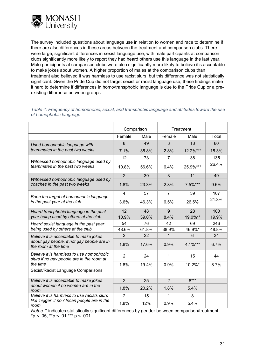

The survey included questions about language use in relation to women and race to determine if there are also differences in these areas between the treatment and comparison clubs. There were large, significant differences in sexist language use, with male participants at comparison clubs significantly more likely to report they had heard others use this language in the last year. Male participants at comparison clubs were also significantly more likely to believe it's acceptable to make jokes about women. A higher proportion of males at the comparison clubs than treatment also believed it was harmless to use racist slurs, but this difference was not statistically significant. Given the Pride Cup did not target sexist or racist language use, these findings make it hard to determine if differences in homo/transphobic language is due to the Pride Cup or a preexisting difference between groups.

|                                                                                       | Comparison     |       | Treatment      |            |       |
|---------------------------------------------------------------------------------------|----------------|-------|----------------|------------|-------|
|                                                                                       | Female         | Male  | Female         | Male       | Total |
| Used homophobic language with                                                         | 8              | 49    | 3              | 18         | 80    |
| teammates in the past two weeks                                                       | 7.1%           | 35.8% | 2.8%           | 12.2%***   | 15.3% |
|                                                                                       | 12             | 73    | 7              | 38         | 135   |
| Witnessed homophobic language used by<br>teammates in the past two weeks              | 10.8%          | 56.6% | 6.4%           | 25.9%***   | 26.4% |
|                                                                                       | $\overline{2}$ | 30    | 3              | 11         | 49    |
| Witnessed homophobic language used by<br>coaches in the past two weeks                | 1.8%           | 23.3% | 2.8%           | 7.5%***    | 9.6%  |
|                                                                                       | 4              | 57    | $\overline{7}$ | 39         | 107   |
| Been the target of homophobic language<br>in the past year at the club                | 3.6%           | 46.3% | 6.5%           | 26.5%      | 21.3% |
| Heard transphobic language in the past                                                | 12             | 48    | 9              | 28         | 100   |
| year being used by others at the club                                                 | 10.9%          | 39.0% | 8.4%           | 19.0%**    | 19.9% |
| Heard sexist language in the past year                                                | 54             | 76    | 42             | 69         | 246   |
| being used by others at the club                                                      | 48.6%          | 61.8% | 38.9%          | 46.9%*     | 48.8% |
| Believe it is acceptable to make jokes                                                | $\overline{2}$ | 22    | 1              | 6          | 34    |
| about gay people, if not gay people are in<br>the room at the time                    | 1.8%           | 17.6% | 0.9%           | $4.1\%***$ | 6.7%  |
| Believe it is harmless to use homophobic<br>slurs if no gay people are in the room at | $\overline{2}$ | 24    | 1              | 15         | 44    |
| the time                                                                              | 1.8%           | 19.4% | 0.9%           | 10.2%*     | 8.7%  |
| Sexist/Racist Language Comparisons                                                    |                |       |                |            |       |
| Believe it is acceptable to make jokes                                                | $\overline{2}$ | 25    | $\overline{2}$ | $8***$     |       |
| about women if no women are in the<br>room                                            | 1.8%           | 20.2% | 1.8%           | 5.4%       |       |
| Believe it is harmless to use racists slurs                                           | $\overline{2}$ | 15    | 1              | 8          |       |
| like 'nigger' if no African people are in the<br>room                                 | 1.8%           | 12%   | 0.9%           | 5.4%       |       |

<span id="page-30-0"></span>*Table 4: Frequency of homophobic, sexist, and transphobic language and attitudes toward the use of homophobic language*

*Notes*. \* indicates statistically significant differences by gender between comparison/treatment  $*p < .05$ ,  $**p < .01$   $*** p < .001$ .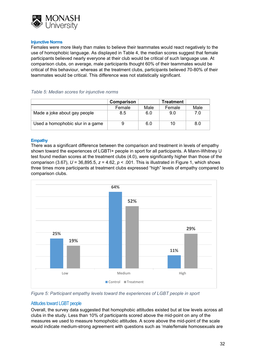

#### **Injunctive Norms**

Females were more likely than males to believe their teammates would react negatively to the use of homophobic language. As displayed in Table 4, the median scores suggest that female participants believed nearly everyone at their club would be critical of such language use. At comparison clubs, on average, male participants thought 60% of their teammates would be critical of this behaviour, whereas at the treatment clubs, participants believed 70-80% of their teammates would be critical. This difference was not statistically significant.

#### <span id="page-31-2"></span>*Table 5: Median scores for injunctive norms*

|                                  | Comparison |      | <b>Treatment</b> |      |
|----------------------------------|------------|------|------------------|------|
|                                  | Female     | Male | Female           | Male |
| Made a joke about gay people     | 8.5        | 6.0  | 9.0              | 7.0  |
| Used a homophobic slur in a game |            | 6.0  | 10               | 8.0  |

#### **Empathy**

There was a significant difference between the comparison and treatment in levels of empathy shown toward the experiences of LGBTI+ people in sport for all participants. A Mann-Whitney U test found median scores at the treatment clubs (4.0), were significantly higher than those of the comparison (3.67), *U* = 36,895.5, *z* = 4.62, *p* < .001. This is illustrated in Figure 1, which shows three times more participants at treatment clubs expressed "high" levels of empathy compared to comparison clubs.



<span id="page-31-1"></span>*Figure 5: Participant empathy levels toward the experiences of LGBT people in sport*

#### <span id="page-31-0"></span>Attitudes toward LGBT people

Overall, the survey data suggested that homophobic attitudes existed but at low levels across all clubs in the study. Less than 10% of participants scored above the mid-point on any of the measures we used to measure homophobic attitudes. A score above the mid-point of the scale would indicate medium-strong agreement with questions such as 'male/female homosexuals are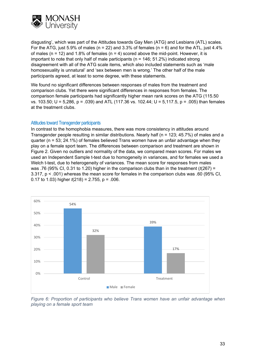

disgusting', which was part of the Attitudes towards Gay Men (ATG) and Lesbians (ATL) scales. For the ATG, just 5.9% of males (n = 22) and 3.3% of females (n = 6) and for the ATL, just 4.4% of males ( $n = 12$ ) and 1.8% of females ( $n = 4$ ) scored above the mid-point. However, it is important to note that only half of male participants (n = 146; 51.2%) indicated strong disagreement with all of the ATG scale items, which also included statements such as 'male homosexuality is unnatural' and 'sex between men is wrong.' The other half of the male participants agreed, at least to some degree, with these statements.

We found no significant differences between responses of males from the treatment and comparison clubs. Yet there were significant differences in responses from females. The comparison female participants had significantly higher mean rank scores on the ATG (115.50 vs. 103.50; U = 5,286, p = .039) and ATL (117.36 vs. 102.44; U = 5,117.5, p = .005) than females at the treatment clubs.

#### <span id="page-32-0"></span>Attitudes toward Transgender participants

In contrast to the homophobia measures, there was more consistency in attitudes around Transgender people resulting in similar distributions. Nearly half (n = 123; 45.7%) of males and a quarter (n = 53; 24.1%) of females believed Trans women have an unfair advantage when they play on a female sport team. The differences between comparison and treatment are shown in Figure 2. Given no outliers and normality of the data, we compared mean scores. For males we used an Independent Sample t-test due to homogeneity in variances, and for females we used a Welch t-test, due to heterogeneity of variances. The mean score for responses from males was .76 (95% CI, 0.31 to 1.20) higher in the comparison clubs than in the treatment (*t*(267) = 3.317, p < .001) whereas the mean score for females in the comparison clubs was .60 (95% CI, 0.17 to 1.03) higher *t*(218) = 2.755, p = .006.



<span id="page-32-1"></span>*Figure 6: Proportion of participants who believe Trans women have an unfair advantage when playing on a female sport team*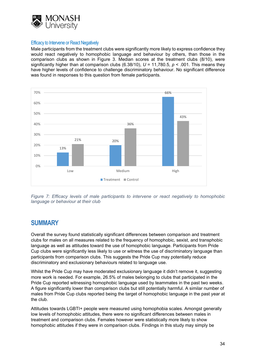

#### <span id="page-33-0"></span>Efficacy to Intervene or React Negatively

Male participants from the treatment clubs were significantly more likely to express confidence they would react negatively to homophobic language and behaviour by others, than those in the comparison clubs as shown in Figure 3. Median scores at the treatment clubs (8/10), were significantly higher than at comparison clubs (6.38/10), *U* = 11,780.5, *p* < .001. This means they have higher levels of confidence to challenge discriminatory behaviour. No significant difference was found in responses to this question from female participants.



<span id="page-33-2"></span>*Figure 7: Efficacy levels of male participants to intervene or react negatively to homophobic language or behaviour at their club*

### <span id="page-33-1"></span>**SUMMARY**

Overall the survey found statistically significant differences between comparison and treatment clubs for males on all measures related to the frequency of homophobic, sexist, and transphobic language as well as attitudes toward the use of homophobic language. Participants from Pride Cup clubs were significantly less likely to use or witness the use of discriminatory language than participants from comparison clubs. This suggests the Pride Cup may potentially reduce discriminatory and exclusionary behaviours related to language use.

Whilst the Pride Cup may have moderated exclusionary language it didn't remove it, suggesting more work is needed. For example, 26.5% of males belonging to clubs that participated in the Pride Cup reported witnessing homophobic language used by teammates in the past two weeks. A figure significantly lower than comparison clubs but still potentially harmful. A similar number of males from Pride Cup clubs reported being the target of homophobic language in the past year at the club.

Attitudes towards LGBTI+ people were measured using homophobia scales. Amongst generally low levels of homophobic attitudes, there were no significant differences between males in treatment and comparison clubs. Females however were statistically more likely to show homophobic attitudes if they were in comparison clubs. Findings in this study may simply be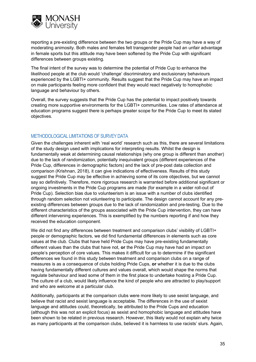

reporting a pre-existing difference between the two groups or the Pride Cup may have a way of moderating animosity. Both males and females felt transgender people had an unfair advantage in female sports but this attitude may have been softened by the Pride Cup with significant differences between groups existing.

The final intent of the survey was to determine the potential of Pride Cup to enhance the likelihood people at the club would 'challenge' discriminatory and exclusionary behaviours experienced by the LGBTI+ community. Results suggest that the Pride Cup may have an impact on male participants feeling more confident that they would react negatively to homophobic language and behaviour by others.

Overall, the survey suggests that the Pride Cup has the potential to impact positively towards creating more supportive environments for the LGBTI+ communities. Low rates of attendance at education programs suggest there is perhaps greater scope for the Pride Cup to meet its stated objectives.

#### <span id="page-34-0"></span>METHODOLOGICAL LIMITATIONS OF SURVEY DATA

Given the challenges inherent with 'real world' research such as this, there are several limitations of the study design used with implications for interpreting results. Whilst the design is fundamentally weak at determining causal relationships (why one group is different than another) due to the lack of randomization, potentially inequivalent groups (different experiences of the Pride Cup, differences in demographic factors) and the lack of pre-post data collection and comparison (Krishnan, 2018), it can give indications of effectiveness. Results of this study suggest the Pride Cup may be effective in achieving some of its core objectives, but we cannot say so definitively. Therefore, more rigorous research is warranted before additional significant or ongoing investments in the Pride Cup programs are made (for example in a wider roll-out of Pride Cup). Selection bias due to volunteerism is an issue with a number of clubs identified through random selection not volunteering to participate. The design cannot account for any preexisting differences between groups due to the lack of randomization and pre-testing. Due to the different characteristics of the groups associated with the Pride Cup intervention, they can have different intervening experiences. This is exemplified by the numbers reporting if and how they received the education component.

We did not find any differences between treatment and comparison clubs' visibility of LGBTI+ people or demographic factors, we did find fundamental differences in elements such as core values at the club. Clubs that have held Pride Cups may have pre-existing fundamentally different values than the clubs that have not, **or** the Pride Cup may have had an impact on people's perception of core values. This makes it difficult for us to determine if the significant differences we found in this study between treatment and comparison clubs on a range of measures is as a consequence of clubs holding Pride Cups, **or** whether it is due to the clubs having fundamentally different cultures and values overall, which would shape the norms that regulate behaviour and lead some of them in the first place to undertake hosting a Pride Cup. The culture of a club, would likely influence the kind of people who are attracted to play/support and who are welcome at a particular club.

Additionally, participants at the comparison clubs were more likely to use sexist language, and believe that racist and sexist language is acceptable. The differences in the use of sexist language and attitudes could, theoretically, be attributed to the Pride Cups and education (although this was not an explicit focus) as sexist and homophobic language and attitudes have been shown to be related in previous research. However, this likely would not explain why twice as many participants at the comparison clubs, believed it is harmless to use racists' slurs. Again,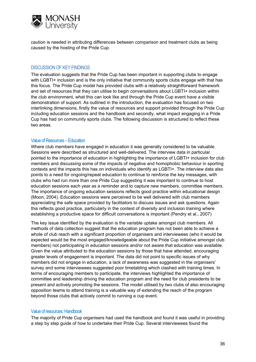

caution is needed in attributing differences between comparison and treatment clubs as being caused by the hosting of the Pride Cup.

#### <span id="page-35-0"></span>DISCUSSION OF KEY FINDINGS

The evaluation suggests that the Pride Cup has been important in supporting clubs to engage with LGBTI+ inclusion and is the only initiative that community sports clubs engage with that has this focus. The Pride Cup model has provided clubs with a relatively straightforward framework and set of resources that they can utilise to begin conversations about LGBTI+ inclusion within the club environment, what this can look like and through the Pride Cup event have a visible demonstration of support. As outlined in the introduction, the evaluation has focused on two interlinking dimensions, firstly the value of resources and support provided through the Pride Cup including education sessions and the handbook and secondly, what impact engaging in a Pride Cup has had on community sports clubs. The following discussion is structured to reflect these two areas.

#### <span id="page-35-1"></span>Value of Resources – Education

Where club members have engaged in education it was generally considered to be valuable. Sessions were described as structured and well-delivered. The interview data in particular pointed to the importance of education in highlighting the importance of LGBTI+ inclusion for club members and discussing some of the impacts of negative and homophobic behaviour in sporting contexts and the impacts this has on individuals who identify as LGBTI+. The interview data also points to a need for ongoing/repeat education to continue to reinforce the key messages, with clubs who had run more than one Pride Cup suggesting it was important to continue to host education sessions each year as a reminder and to capture new members, committee members. The importance of ongoing education sessions reflects good practice within educational design (Moon, 2004). Education sessions were perceived to be well delivered with club members appreciating the safe space provided by facilitators to discuss issues and ask questions. Again this reflects good practice, particularly in the context of diversity and inclusion training where establishing a productive space for difficult conversations is important (Pendry et al., 2007)

The key issue identified by the evaluation is the variable uptake amongst club members. All methods of data collection suggest that the education program has not been able to achieve a whole of club reach with a significant proportion of organisers and interviewees (who it would be expected would be the most engaged/knowledgeable about the Pride Cup initiative amongst club members) not participating in education sessions and/or not aware that education was available. Given the value attributed to the education sessions by those that have attended, encouraging greater levels of engagement is important. The data did not point to specific issues of why members did not engage in education, a lack of awareness was suggested in the organisers' survey and some interviewees suggested poor timetabling which clashed with training times. In terms of encouraging members to participate, the interviews highlighted the importance of committee and leadership driving the education program and the need for club presidents to be present and actively promoting the sessions. The model utilised by two clubs of also encouraging opposition teams to attend training is a valuable way of extending the reach of the program beyond those clubs that actively commit to running a cup event.

#### <span id="page-35-2"></span>Value of resources: Handbook

The majority of Pride Cup organisers had used the handbook and found it was useful in providing a step by step guide of how to undertake their Pride Cup. Several interviewees found the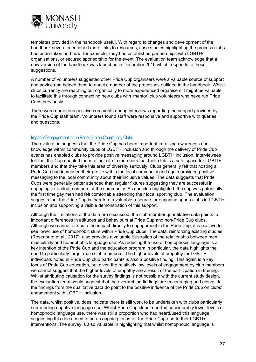

templates provided in the handbook useful. With regard to changes and development of the handbook several mentioned more links to resources, case studies highlighting the process clubs had undertaken and how, for example, they had established partnerships with LGBTI+ organisations, or secured sponsorship for the event. The evaluation team acknowledge that a new version of the handbook was launched in December 2019 which responds to these suggestions.

A number of volunteers suggested other Pride Cup organisers were a valuable source of support and advice and helped them to enact a number of the processes outlined in the handbook. Whilst clubs currently are reaching out organically to more experienced organisers it might be valuable to facilitate this through connecting new clubs with 'mentor' club volunteers who have run Pride Cups previously.

There were numerous positive comments during interviews regarding the support provided by the Pride Cup staff team. Volunteers found staff were responsive and supportive with queries and questions.

#### <span id="page-36-0"></span>Impact of engagement in the Pride Cup on Community Clubs

The evaluation suggests that the Pride Cup has been important in raising awareness and knowledge within community clubs of LGBTI+ inclusion and through the delivery of Pride Cup events has enabled clubs to provide positive messaging around LGBTI+ inclusion. Interviewees felt that the Cup enabled them to indicate to members that their club is a safe space for LGBTI+ members and that they take this area of diversity seriously. Clubs generally felt that hosting a Pride Cup had increased their profile within the local community and again provided positive messaging to the local community about their inclusive values. The data suggests that Pride Cups were generally better attended than regular fixtures suggesting they are successful in engaging extended members of the community. As one club highlighted, the cup was potentially the first time gay men had felt comfortable attending their local sporting club. The evaluation suggests that the Pride Cup is therefore a valuable resource for engaging sports clubs in LGBTI+ inclusion and supporting a visible demonstration of this support.

Although the limitations of the data are discussed, the club member quantitative data points to important differences in attitudes and behaviours at Pride Cup and non-Pride Cup clubs. Although we cannot attribute the impact directly to engagement in the Pride Cup, it is positive to see lower use of homophobic slurs within Pride Cup clubs. The data, reinforcing existing studies (Rosenburg et al., 2017), also provides a valuable illustration of the relationship between men, masculinity and homophobic language use. As reducing the use of homophobic language is a key intention of the Pride Cup and the education program in particular, the data highlights the need to particularly target male club members. The higher levels of empathy for LGBTI+ individuals noted in Pride Cup club participants is also a positive finding. This again is a key focus of Pride Cup education, but given the relatively low levels of engagement by club members we cannot suggest that the higher levels of empathy are a result of the participation in training. Whilst attributing causation for the survey findings is not possible with the current study design, the evaluation team would suggest that the overarching findings are encouraging and alongside the findings from the qualitative data do point to the positive influence of the Pride Cup on clubs' engagement with LGBTI+ inclusion.

The data, whilst positive, does indicate there is still work to be undertaken with clubs particularly surrounding negative language use. Whilst Pride Cup clubs reported considerably lower levels of homophobic language use, there was still a proportion who had heard/used this language, suggesting this does need to be an ongoing focus for the Pride Cup and further LGBTI+ interventions. The survey is also valuable in highlighting that whilst homophobic language is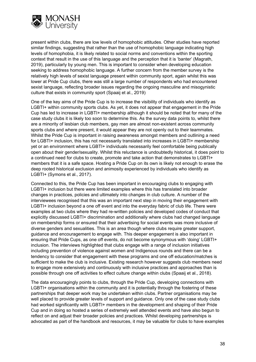

present within clubs, there are low levels of homophobic attitudes. Other studies have reported similar findings, suggesting that rather than the use of homophobic language indicating high levels of homophobia, it is likely related to social norms and conventions within the sporting context that result in the use of this language and the perception that it is 'banter' (Magrath, 2019), particularly by young men. This is important to consider when developing education seeking to address homophobic language. A further concern from the member survey is the relatively high levels of sexist language present within community sport, again whilst this was lower at Pride Cup clubs, there was still a large number of respondents who had encountered sexist language, reflecting broader issues regarding the ongoing masculine and misogynistic culture that exists in community sport (Spaaij et al., 2019)

One of the key aims of the Pride Cup is to increase the visibility of individuals who identify as LGBTI+ within community sports clubs. As yet, it does not appear that engagement in the Pride Cup has led to increase in LGBTI+ membership although it should be noted that for many of the case study clubs it is likely too soon to determine this. As the survey data points to, whilst there are a minority of lesbian club members, gay men are almost non-existent across community sports clubs and where present, it would appear they are not openly out to their teammates. Whilst the Pride Cup is important in raising awareness amongst members and outlining a need for LGBTI+ inclusion, this has not necessarily translated into increases in LGBTI+ membership yet or an environment where LGBTI+ individuals necessarily feel comfortable being publically open about their gender/sexuality. Whilst this reluctance is undoubtedly historical, it does point to a continued need for clubs to create, promote and take action that demonstrates to LGBTI+ members that it is a safe space. Hosting a Pride Cup on its own is likely not enough to erase the deep rooted historical exclusion and animosity experienced by individuals who identify as LGBTI+ (Symons et al., 2017).

Connected to this, the Pride Cup has been important in encouraging clubs to engaging with LGBTI+ inclusion but there were limited examples where this has translated into broader changes in practices, policies and ultimately into changes in club culture. A number of the interviewees recognised that this was an important next step in moving their engagement with LGBTI+ inclusion beyond a one off event and into the everyday fabric of club life. There were examples at two clubs where they had re-written policies and developed codes of conduct that explicitly discussed LGBTI+ discrimination and additionally where clubs had changed language on membership forms or ensured that their advertising for social events was more inclusive of diverse genders and sexualities. This is an area though where clubs require greater support, guidance and encouragement to engage with. This deeper engagement is also important in ensuring that Pride Cups, as one off events, do not become synonymous with 'doing' LGBTI+ inclusion. The interviews highlighted that clubs engage with a range of inclusion initiatives including prevention of violence against women and Indigenous rounds and there can be a tendency to consider that engagement with these programs and one off education/matches is sufficient to make the club is inclusive. Existing research however suggests club members need to engage more extensively and continuously with inclusive practices and approaches than is possible through one off activities to effect culture change within clubs (Spaaij et al., 2018).

The data encouragingly points to clubs, through the Pride Cup, developing connections with LGBTI+ organisations within the community and it is potentially through the fostering of these partnerships that deeper work may be undertaken within clubs. Partner organisations may be well placed to provide greater levels of support and guidance. Only one of the case study clubs had worked significantly with LGBTI+ members in the development and shaping of their Pride Cup and in doing so hosted a series of extremely well attended events and have also begun to reflect on and adjust their broader policies and practices. Whilst developing partnerships is advocated as part of the handbook and resources, it may be valuable for clubs to have examples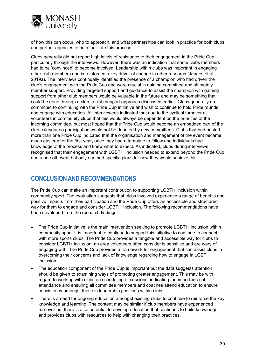

of how this can occur, who to approach, and what partnerships can look in practice for both clubs and partner agencies to help facilitate this process.

Clubs generally did not report high levels of resistance to their engagement in the Pride Cup, particularly through the interviews. However, there was an indication that some clubs members had to be 'convinced' to become involved. Leadership within clubs was important in engaging other club members and is reinforced a key driver of change in other research (Jeanes et al., 2019a). The interviews continually identified the presence of a champion who had driven the club's engagement with the Pride Cup and were crucial in gaining committee and ultimately member support. Providing targeted support and guidance to assist the champion with gaining support from other club members would be valuable in the future and may be something that could be done through a club to club support approach discussed earlier. Clubs generally are committed to continuing with the Pride Cup initiative and wish to continue to hold Pride rounds and engage with education. All interviewees indicated that due to the cyclical turnover at volunteers in community clubs that this would always be dependent on the priorities of the incoming committee, but most hoped that the Pride Cup would become an embedded part of the club calendar so participation would not be debated by new committees. Clubs that had hosted more than one Pride Cup indicated that the organisation and management of the event became much easier after the first year, once they had a template to follow and individuals had knowledge of the process and knew what to expect. As indicated, clubs during interviews recognised that their engagement with LGBTI+ inclusion needed to extend beyond the Pride Cup and a one off event but only one had specific plans for how they would achieve this.

## <span id="page-38-0"></span>**CONCLUSION AND RECOMMENDATIONS**

The Pride Cup can make an important contribution to supporting LGBTI+ inclusion within community sport. The evaluation suggests that clubs involved experience a range of benefits and positive impacts from their participation and the Pride Cup offers an accessible and structured way for them to engage and consider LGBTI+ inclusion. The following recommendations have been developed from the research findings:

- The Pride Cup initiative is the main intervention seeking to promote LGBTI+ inclusion within community sport. It is important to continue to support this initiative to continue to connect with more sports clubs. The Pride Cup provides a tangible and accessible way for clubs to consider LGBTI+ inclusion, an area volunteers often consider is sensitive and are wary of engaging with. The Pride Cup provides a framework for engagement that can assist clubs in overcoming their concerns and lack of knowledge regarding how to engage in LGBTI+ inclusion.
- The education component of the Pride Cup is important but the data suggests attention should be given to examining ways of promoting greater engagement. This may be with regard to working with clubs on scheduling of sessions, indicating the importance of attendance and ensuring all committee members and coaches attend education to ensure consistency amongst those in leadership positions within clubs.
- There is a need for ongoing education amongst existing clubs to continue to reinforce the key knowledge and learning. The content may be similar if club members have experienced turnover but there is also potential to develop education that continues to build knowledge and provides clubs with resources to help with changing their practices.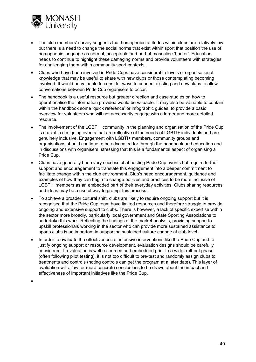

- The club members' survey suggests that homophobic attitudes within clubs are relatively low but there is a need to change the social norms that exist within sport that position the use of homophobic language as normal, acceptable and part of masculine 'banter'. Education needs to continue to highlight these damaging norms and provide volunteers with strategies for challenging them within community sport contexts.
- Clubs who have been involved in Pride Cups have considerable levels of organisational knowledge that may be useful to share with new clubs or those contemplating becoming involved. It would be valuable to consider ways to connect existing and new clubs to allow conversations between Pride Cup organisers to occur.
- The handbook is a useful resource but greater direction and case studies on how to operationalise the information provided would be valuable. It may also be valuable to contain within the handbook some 'quick reference' or infographic guides, to provide a basic overview for volunteers who will not necessarily engage with a larger and more detailed resource.
- The involvement of the LGBTI+ community in the planning and organisation of the Pride Cup is crucial in designing events that are reflective of the needs of LGBTI+ individuals and are genuinely inclusive. Engagement with LGBTI+ members, community groups and organisations should continue to be advocated for through the handbook and education and in discussions with organisers, stressing that this is a fundamental aspect of organising a Pride Cup.
- Clubs have generally been very successful at hosting Pride Cup events but require further support and encouragement to translate this engagement into a deeper commitment to facilitate change within the club environment. Club's need encouragement, guidance and examples of how they can begin to change policies and practices to be more inclusive of LGBTI+ members as an embedded part of their everyday activities. Clubs sharing resources and ideas may be a useful way to prompt this process.
- To achieve a broader cultural shift, clubs are likely to require ongoing support but it is recognised that the Pride Cup team have limited resources and therefore struggle to provide ongoing and extensive support to clubs. There is however, a lack of specific expertise within the sector more broadly, particularly local government and State Sporting Associations to undertake this work. Reflecting the findings of the market analysis, providing support to upskill professionals working in the sector who can provide more sustained assistance to sports clubs is an important in supporting sustained culture change at club level.
- In order to evaluate the effectiveness of intensive interventions like the Pride Cup and to justify ongoing support or resource development, evaluation designs should be carefully considered. If evaluation is well resourced and embedded prior to a wider roll-out phase (often following pilot testing), it is not too difficult to pre-test and randomly assign clubs to treatments and controls (noting controls can get the program at a later date). This layer of evaluation will allow for more concrete conclusions to be drawn about the impact and effectiveness of important initiatives like the Pride Cup.

•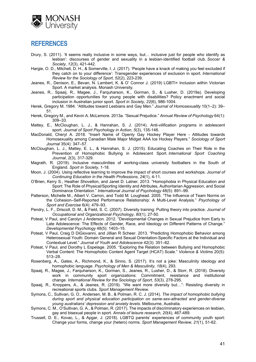

### <span id="page-40-0"></span>**REFERENCES**

- Drury, S. (2011). 'It seems really inclusive in some ways, but… inclusive just for people who identify as lesbian': discourses of gender and sexuality in a lesbian‐identified football club. *Soccer & Society*, *12*(3), 421-442.
- Hargie, O. D., Mitchell, D. H., & Somerville, I. J. (2017). 'People have a knack of making you feel excluded if they catch on to your difference': Transgender experiences of exclusion in sport. *International Review for the Sociology of Sport*, *52*(2), 223-239.
- Jeanes, R., Denison, E., Bevan, N. Lambert, K. & O' Connor J. (2019) LGBTI+ Inclusion within Victorian Sport. A market analysis. Monash University.
- Jeanes, R., Spaaij, R., Magee, J., Farquharson, K., Gorman, S., & Lusher, D. (2019a). Developing participation opportunities for young people with disabilities? Policy enactment and social inclusion in Australian junior sport. *Sport in Society*, *22*(6), 986-1004.
- Herek, Gregory M. 1984. "Attitudes toward Lesbians and Gay Men." *Journal of Homosexuality* 10(1–2): 39– 51.
- Herek, Gregory M., and Kevin A. McLemore. 2013a. "Sexual Prejudice." *Annual Review of Psychology* 64(1): 309–33.
- Mattey, E., McCloughan, L. J., & Hanrahan, S. J. (2014). Anti-vilification programs in adolescent sport. *Journal of Sport Psychology in Action*, *5*(3), 135-146.
- MacDonald, Cheryl A. 2018. "Insert Name of Openly Gay Hockey Player Here Attitudes towards Homosexuality among Canadian Male Major Midget AAA Ice Hockey Players." *Sociology of Sport Journal* 35(4): 347–57.
- McCloughan, L. J., Mattey, E. L., & Hanrahan, S. J. (2015). Educating Coaches on Their Role in the Prevention of Homophobic Bullying in Adolescent Sport. *International Sport Coaching Journal*, *2*(3), 317-329.
- Magrath, R. (2019). Inclusive masculinities of working-class university footballers in the South of England. *Sport in Society*, 1-18.
- Moon, J. (2004). Using reflective learning to improve the impact of short courses and workshops. *Journal of Continuing Education in the Health Professions*, *24*(1), 4-11.
- O'Brien, Kerry S., Heather Shovelton, and Janet D. Latner. 2013. "Homophobia in Physical Education and Sport: The Role of Physical/Sporting Identity and Attributes, Authoritarian Aggression, and Social Dominance Orientation." *International Journal of Psychology* 48(5): 891–99.
- Patterson, Michelle M., Albert V. Carron, and Todd M. Loughead. 2005. "The Influence of Team Norms on the Cohesion–Self-Reported Performance Relationship: A Multi-Level Analysis." *Psychology of Sport and Exercise* 6(4): 479–93.
- Pendry, L. F., Driscoll, D. M., & Field, S. C. (2007). Diversity training: Putting theory into practice. *Journal of Occupational and Organizational Psychology*, *80*(1), 27-50.
- Poteat, V Paul, and Carolyn J Anderson. 2012. "Developmental Changes in Sexual Prejudice from Early to Late Adolescence: The Effects of Gender, Race, and Ideology on Different Patterns of Change." *Developmental Psychology* 48(5): 1403–15.
- Poteat, V Paul, Craig D DiGiovanni, and Jillian R Scheer. 2013. "Predicting Homophobic Behavior among Heterosexual Youth: Domain General and Sexual Orientation-Specific Factors at the Individual and Contextual Level." *Journal of Youth and Adolescence* 42(3): 351–62.
- Poteat, V Paul, and Dorothy L Espelage. 2005. "Exploring the Relation between Bullying and Homophobic Verbal Content: The Homophobic Content Agent Target (HCAT) Scale." *Violence & Victims* 20(5): 513–28.
- Rosenberg, A., Gates, A., Richmond, K., & Sinno, S. (2017). It's not a joke: Masculinity ideology and homophobic language. *Psychology of Men & Masculinity*, *18*(4), 293.
- Spaaij, R., Magee, J., Farquharson, K., Gorman, S., Jeanes, R., Lusher, D., & Storr, R. (2018). Diversity work in community sport organizations: Commitment, resistance and institutional change. *International Review for the Sociology of Sport*, *53*(3), 278-295.
- Spaaij, R., Knoppers, A., & Jeanes, R. (2019). "We want more diversity but…": Resisting diversity in recreational sports clubs. *Sport Management Review*.
- Symons, C., Sullivan, G. O., Andersen, M. B., & Polman, R. C. J. (2014). *The impact of homophobic bullying during sport and physical education participation on same-sex-attracted and gender-diverse young australians' depression and anxiety levels*. Melbourne, Australia.
- Symons, C. M., O'Sullivan, G. A., & Polman, R. (2017). The impacts of discriminatory experiences on lesbian, gay and bisexual people in sport. *Annals of leisure research*, *20*(4), 467-489.
- Trussell, D. E., Kovac, L., & Apgar, J. (2018). LGBTQ parents' experiences of community youth sport: Change your forms, change your (hetero) norms. *Sport Management Review*, *21*(1), 51-62.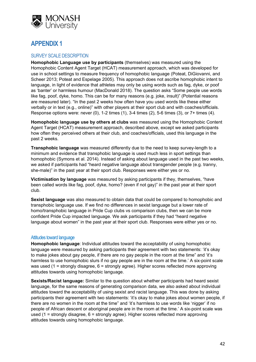

# <span id="page-41-0"></span>**APPENDIX 1**

#### <span id="page-41-1"></span>SURVEY SCALE DESCRIPTION

**Homophobic Language use by participants** (themselves) was measured using the Homophobic Content Agent Target (HCAT) measurement approach, which was developed for use in school settings to measure frequency of homophobic language (Poteat, DiGiovanni, and Scheer 2013; Poteat and Espelage 2005). This approach does not ascribe homophobic intent to language, in light of evidence that athletes may only be using words such as fag, dyke, or poof as 'banter' or harmless humour (MacDonald 2018). The question asks "Some people use words like fag, poof, dyke, homo. This can be for many reasons (e.g. joke, insult)" (Potential reasons are measured later). "In the past 2 weeks how often have you used words like these either verbally or in text (e.g., online)" with other players at their sport club and with coaches/officials. Response options were: never (0), 1-2 times (1), 3-4 times (2), 5-6 times (3), or 7+ times (4).

**Homophobic language use by others at clubs** was measured using the Homophobic Content Agent Target (HCAT) measurement approach, described above, except we asked participants how often they perceived others at their club, and coaches/officials, used this language in the past 2 weeks.

**Transphobic language** was measured differently due to the need to keep survey-length to a minimum and evidence that transphobic language is used much less in sport settings than homophobic (Symons et al. 2014). Instead of asking about language used in the past two weeks, we asked if participants had "heard negative language about transgender people (e.g. tranny, she-male)" in the past year at their sport club. Responses were either yes or no.

**Victimisation by language** was measured by asking participants if they, themselves, "have been called words like fag, poof, dyke, homo? (even if not gay)" in the past year at their sport club.

**Sexist language** was also measured to obtain data that could be compared to homophobic and transphobic language use. If we find no differences in sexist language but a lower rate of homo/transphobic language in Pride Cup clubs vs comparison clubs, then we can be more confident Pride Cup impacted language. We ask participants if they had "heard negative language about women" in the past year at their sport club. Responses were either yes or no.

#### <span id="page-41-2"></span>Attitudes toward language

**Homophobic language**: Individual attitudes toward the acceptability of using homophobic language were measured by asking participants their agreement with two statements: 'it's okay to make jokes about gay people, if there are no gay people in the room at the time" and 'it's harmless to use homophobic slurs if no gay people are in the room at the time.' A six-point scale was used (1 = strongly disagree, 6 = strongly agree). Higher scores reflected more approving attitudes towards using homophobic language.

**Sexists/Racist language:** Similar to the question about whether participants had heard sexist language, for the same reasons of generating comparison data, we also asked about individual attitudes toward the acceptability of using sexist and racist language. This was done by asking participants their agreement with two statements: 'it's okay to make jokes about women people, if there are no women in the room at the time" and 'it's harmless to use words like 'nigger' if no people of African descent or aboriginal people are in the room at the time.' A six-point scale was used (1 = strongly disagree,  $6$  = strongly agree). Higher scores reflected more approving attitudes towards using homophobic language.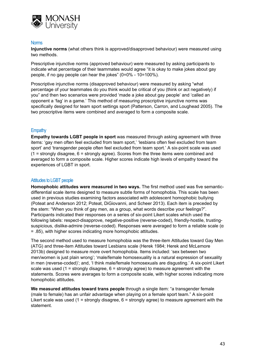

#### <span id="page-42-0"></span>**Norms**

**Injunctive norms** (what others think is approved/disapproved behaviour) were measured using two methods.

Prescriptive injunctive norms (approved behaviour) were measured by asking participants to indicate what percentage of their teammates would agree "it is okay to make jokes about gay people, if no gay people can hear the jokes" (0=0% - 10=100%).

Proscriptive injunctive norms (disapproved behaviour) were measured by asking "what percentage of your teammates do you think would be critical of you (think or act negatively) if you" and then two scenarios were provided 'made a joke about gay people' and 'called an opponent a 'fag' in a game.' This method of measuring proscriptive injunctive norms was specifically designed for team sport settings sport (Patterson, Carron, and Loughead 2005). The two proscriptive items were combined and averaged to form a composite scale.

#### <span id="page-42-1"></span>**Empathy**

**Empathy towards LGBT people in sport** was measured through asking agreement with three items: 'gay men often feel excluded from team sport,' 'lesbians often feel excluded from team sport' and 'transgender people often feel excluded from team sport.' A six-point scale was used (1 = strongly disagree, 6 = strongly agree). Scores from the three items were combined and averaged to form a composite scale. Higher scores indicate high levels of empathy toward the experiences of LGBT in sport.

#### <span id="page-42-2"></span>Attitudes to LGBT people

**Homophobic attitudes were measured in two ways.** The first method used was five semanticdifferential scale items designed to measure subtle forms of homophobia. This scale has been used in previous studies examining factors associated with adolescent homophobic bullying (Poteat and Anderson 2012; Poteat, DiGiovanni, and Scheer 2013). Each item is preceded by the stem: "When you think of gay men, as a group, what words describe your feelings?". Participants indicated their responses on a series of six-point Likert scales which used the following labels: respect-disapprove, negative-positive (reverse-coded), friendly-hostile, trustingsuspicious, dislike-admire (reverse-coded). Responses were averaged to form a reliable scale (α = .85), with higher scores indicating more homophobic attitudes.

The second method used to measure homophobia was the three-item Attitudes toward Gay Men (ATG) and three-item Attitudes toward Lesbians scale (Herek 1984; Herek and McLemore 2013b) designed to measure more overt homophobia. Items included: 'sex between two men/women is just plain wrong'; 'male/female homosexuality is a natural expression of sexuality in men (reverse-coded)'; and, 'I think male/female homosexuals are disgusting.' A six-point Likert scale was used (1 = strongly disagree,  $6$  = strongly agree) to measure agreement with the statements. Scores were averages to form a composite scale, with higher scores indicating more homophobic attitudes.

**We measured attitudes toward trans people** through a single item: "a transgender female (male to female) has an unfair advantage when playing on a female sport team." A six-point Likert scale was used (1 = strongly disagree,  $6$  = strongly agree) to measure agreement with the statement.